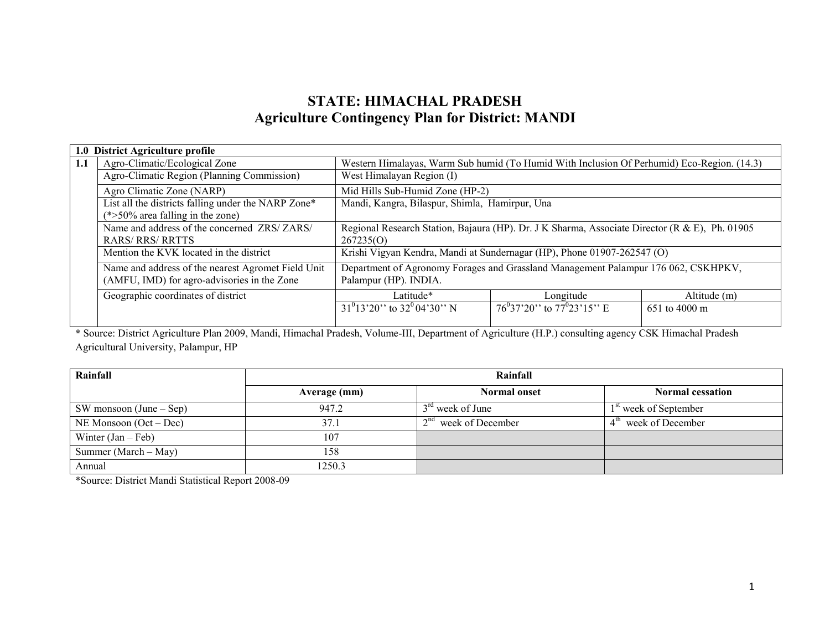# STATE: HIMACHAL PRADESH Agriculture Contingency Plan for District: MANDI

|     | 1.0 District Agriculture profile                                                                  |                                                                                                |                                                                                            |               |  |  |
|-----|---------------------------------------------------------------------------------------------------|------------------------------------------------------------------------------------------------|--------------------------------------------------------------------------------------------|---------------|--|--|
| 1.1 | Agro-Climatic/Ecological Zone                                                                     |                                                                                                | Western Himalayas, Warm Sub humid (To Humid With Inclusion Of Perhumid) Eco-Region. (14.3) |               |  |  |
|     | Agro-Climatic Region (Planning Commission)                                                        | West Himalayan Region (I)                                                                      |                                                                                            |               |  |  |
|     | Agro Climatic Zone (NARP)                                                                         | Mid Hills Sub-Humid Zone (HP-2)                                                                |                                                                                            |               |  |  |
|     | List all the districts falling under the NARP Zone*                                               | Mandi, Kangra, Bilaspur, Shimla, Hamirpur, Una                                                 |                                                                                            |               |  |  |
|     | $(*>50\%$ area falling in the zone)                                                               |                                                                                                |                                                                                            |               |  |  |
|     | Name and address of the concerned ZRS/ZARS/                                                       | Regional Research Station, Bajaura (HP). Dr. J K Sharma, Associate Director (R & E), Ph. 01905 |                                                                                            |               |  |  |
|     | <b>RARS/ RRS/ RRTTS</b>                                                                           | 267235(0)                                                                                      |                                                                                            |               |  |  |
|     | Mention the KVK located in the district                                                           |                                                                                                | Krishi Vigyan Kendra, Mandi at Sundernagar (HP), Phone 01907-262547 (O)                    |               |  |  |
|     | Name and address of the nearest Agromet Field Unit<br>(AMFU, IMD) for agro-advisories in the Zone | Palampur (HP). INDIA.                                                                          | Department of Agronomy Forages and Grassland Management Palampur 176 062, CSKHPKV,         |               |  |  |
|     |                                                                                                   |                                                                                                |                                                                                            |               |  |  |
|     | Geographic coordinates of district                                                                | Latitude*                                                                                      | Longitude                                                                                  | Altitude (m)  |  |  |
|     |                                                                                                   | $31^{0}13'20''$ to $32^{0}04'30''$ N                                                           | $76^{0}37'20''$ to $77^{0}23'15''$ E                                                       | 651 to 4000 m |  |  |
|     |                                                                                                   |                                                                                                |                                                                                            |               |  |  |

\* Source: District Agriculture Plan 2009, Mandi, Himachal Pradesh, Volume-III, Department of Agriculture (H.P.) consulting agency CSK Himachal Pradesh Agricultural University, Palampur, HP

| Rainfall                        | Rainfall     |                        |                                   |  |  |  |
|---------------------------------|--------------|------------------------|-----------------------------------|--|--|--|
|                                 | Average (mm) | <b>Normal onset</b>    | <b>Normal cessation</b>           |  |  |  |
| $\vert$ SW monsoon (June – Sep) | 947.2        | $3rd$ week of June     | 1 <sup>st</sup> week of September |  |  |  |
| NE Monsoon $(Oct - Dec)$        | 37.1         | $2nd$ week of December | $4th$ week of December            |  |  |  |
| Winter $(Jan - Feb)$            | 107          |                        |                                   |  |  |  |
| Summer (March $-$ May)          | 158          |                        |                                   |  |  |  |
| Annual                          | 1250.3       |                        |                                   |  |  |  |

\*Source: District Mandi Statistical Report 2008-09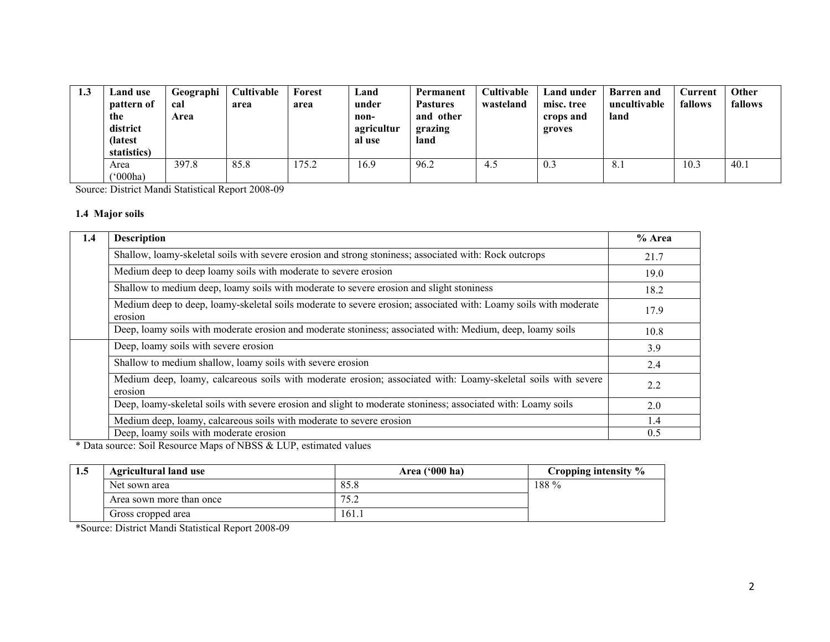| 1.3 | Land use<br>pattern of<br>the<br>district<br>(latest<br>statistics) | Geographi<br>cal<br>Area | Cultivable<br>area | Forest<br>area | Land<br>under<br>non-<br>agricultur<br>al use | Permanent<br><b>Pastures</b><br>and other<br>grazing<br>land | Cultivable<br>wasteland | Land under<br>misc. tree<br>crops and<br>groves | <b>Barren</b> and<br>uncultivable<br>land | $C$ urrent<br>fallows | Other<br>fallows |
|-----|---------------------------------------------------------------------|--------------------------|--------------------|----------------|-----------------------------------------------|--------------------------------------------------------------|-------------------------|-------------------------------------------------|-------------------------------------------|-----------------------|------------------|
|     | Area<br>$^{\circ}000$ ha)                                           | 397.8                    | 85.8               | 175.2          | 16.9                                          | 96.2                                                         | 4.5                     | 0.3                                             | 8.1                                       | 10.3                  | 40.1             |

Source: District Mandi Statistical Report 2008-09

## 1.4 Major soils

| 1.4 | <b>Description</b>                                                                                                          | % Area        |  |  |  |
|-----|-----------------------------------------------------------------------------------------------------------------------------|---------------|--|--|--|
|     | Shallow, loamy-skeletal soils with severe erosion and strong stoniness; associated with: Rock outcrops                      | 21.7          |  |  |  |
|     | Medium deep to deep loamy soils with moderate to severe erosion                                                             |               |  |  |  |
|     | Shallow to medium deep, loamy soils with moderate to severe erosion and slight stoniness                                    | 18.2          |  |  |  |
|     | Medium deep to deep, loamy-skeletal soils moderate to severe erosion; associated with: Loamy soils with moderate<br>erosion | 17.9          |  |  |  |
|     | Deep, loamy soils with moderate erosion and moderate stoniness; associated with: Medium, deep, loamy soils                  | 10.8          |  |  |  |
|     | Deep, loamy soils with severe erosion                                                                                       | 3.9           |  |  |  |
|     | Shallow to medium shallow, loamy soils with severe erosion                                                                  | 2.4           |  |  |  |
|     | Medium deep, loamy, calcareous soils with moderate erosion; associated with: Loamy-skeletal soils with severe<br>erosion    | 2.2           |  |  |  |
|     | Deep, loamy-skeletal soils with severe erosion and slight to moderate stoniness; associated with: Loamy soils               | 2.0           |  |  |  |
|     | Medium deep, loamy, calcareous soils with moderate to severe erosion                                                        | 1.4           |  |  |  |
|     | Deep, loamy soils with moderate erosion                                                                                     | $0.5^{\circ}$ |  |  |  |

\* Data source: Soil Resource Maps of NBSS & LUP, estimated values

| 1.5 | <b>Agricultural land use</b> | Area $('000 ha)$ | Cropping intensity % |
|-----|------------------------------|------------------|----------------------|
|     | Net sown area                | 85.8             | $188\%$              |
|     | Area sown more than once     | 75'<br>ے . د     |                      |
|     | Gross cropped area           | 161.1            |                      |

\*Source: District Mandi Statistical Report 2008-09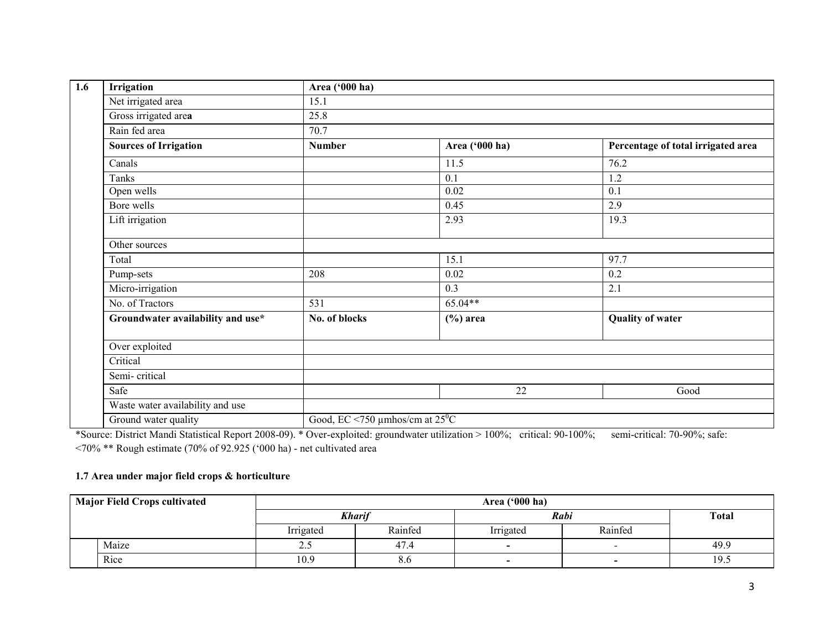| 1.6 | Irrigation                        | Area ('000 ha) |                                          |                                    |  |  |  |
|-----|-----------------------------------|----------------|------------------------------------------|------------------------------------|--|--|--|
|     | Net irrigated area                | 15.1           |                                          |                                    |  |  |  |
|     | Gross irrigated area              | 25.8           |                                          |                                    |  |  |  |
|     | Rain fed area                     | 70.7           |                                          |                                    |  |  |  |
|     | <b>Sources of Irrigation</b>      | <b>Number</b>  | Area ('000 ha)                           | Percentage of total irrigated area |  |  |  |
|     | Canals                            |                | 11.5                                     | 76.2                               |  |  |  |
|     | Tanks                             |                | 0.1                                      | 1.2                                |  |  |  |
|     | Open wells                        |                | 0.02                                     | $\overline{0.1}$                   |  |  |  |
|     | Bore wells                        |                | 0.45                                     | 2.9                                |  |  |  |
|     | Lift irrigation                   |                | 2.93                                     | 19.3                               |  |  |  |
|     | Other sources                     |                |                                          |                                    |  |  |  |
|     | Total                             |                | 15.1                                     | 97.7                               |  |  |  |
|     | Pump-sets                         | 208            | 0.02                                     | 0.2                                |  |  |  |
|     | Micro-irrigation                  |                | 0.3                                      | 2.1                                |  |  |  |
|     | No. of Tractors                   | 531            | 65.04**                                  |                                    |  |  |  |
|     | Groundwater availability and use* | No. of blocks  | $(\%)$ area                              | <b>Quality of water</b>            |  |  |  |
|     | Over exploited                    |                |                                          |                                    |  |  |  |
|     | Critical                          |                |                                          |                                    |  |  |  |
|     | Semi-critical                     |                |                                          |                                    |  |  |  |
|     | Safe                              |                | 22                                       | Good                               |  |  |  |
|     | Waste water availability and use  |                |                                          |                                    |  |  |  |
|     | Ground water quality              |                | Good, EC <750 µmhos/cm at $25^{\circ}$ C |                                    |  |  |  |

\*Source: District Mandi Statistical Report 2008-09). \* Over-exploited: groundwater utilization > 100%; critical: 90-100%; semi-critical: 70-90%; safe: <70% \*\* Rough estimate (70% of 92.925 ('000 ha) - net cultivated area

## 1.7 Area under major field crops & horticulture

| <b>Major Field Crops cultivated</b> |       | Area $('000 ha)$ |               |                          |                          |              |  |  |
|-------------------------------------|-------|------------------|---------------|--------------------------|--------------------------|--------------|--|--|
|                                     |       |                  | <b>Kharif</b> |                          | Rabi                     | <b>Total</b> |  |  |
|                                     |       | Irrigated        | Rainfed       | Irrigated                | Rainfed                  |              |  |  |
|                                     | Maize | ن . ب            | 47.4          | $\overline{\phantom{0}}$ |                          | 49.9         |  |  |
|                                     | Rice  | 10.9             | 8.6           | $\overline{\phantom{0}}$ | $\overline{\phantom{0}}$ | 19.5         |  |  |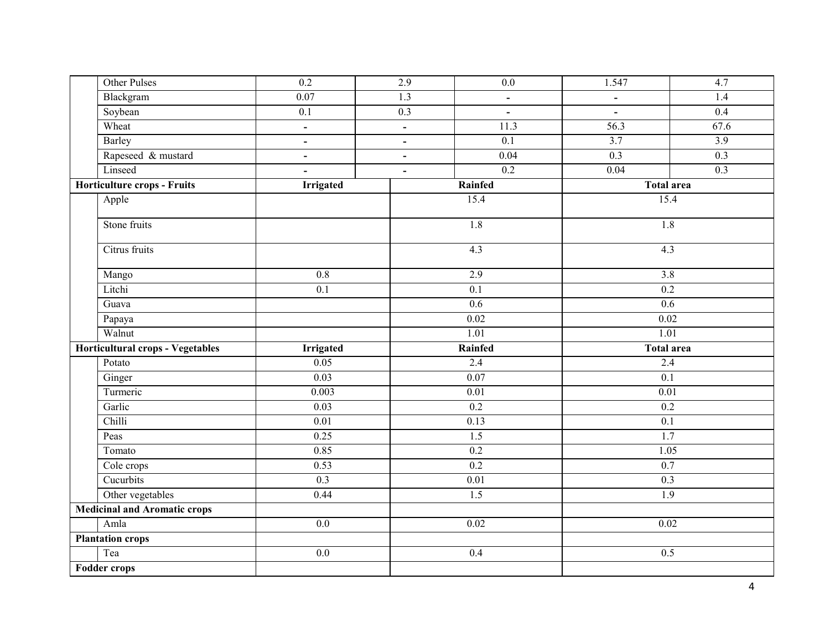| Other Pulses                        | 0.2               | 2.9            | $0.0\,$          | 1.547             | 4.7              |
|-------------------------------------|-------------------|----------------|------------------|-------------------|------------------|
| Blackgram                           | 0.07              | 1.3            | $\blacksquare$   | $\blacksquare$    | 1.4              |
| Soybean                             | 0.1               | 0.3            | $\blacksquare$   | $\blacksquare$    | 0.4              |
| Wheat                               | $\blacksquare$    | $\blacksquare$ | 11.3             | 56.3              | 67.6             |
| <b>Barley</b>                       | $\blacksquare$    | $\blacksquare$ | 0.1              | $\overline{3.7}$  | $\overline{3.9}$ |
| Rapeseed & mustard                  | $\qquad \qquad -$ | $\blacksquare$ | 0.04             | 0.3               | 0.3              |
| Linseed                             | $\blacksquare$    | $\blacksquare$ | 0.2              | 0.04              | 0.3              |
| <b>Horticulture crops - Fruits</b>  | <b>Irrigated</b>  |                | Rainfed          | <b>Total area</b> |                  |
| Apple                               |                   |                | 15.4             | 15.4              |                  |
| Stone fruits                        |                   |                | 1.8              | 1.8               |                  |
| Citrus fruits                       |                   |                | 4.3              | 4.3               |                  |
| Mango                               | $\overline{0.8}$  |                | 2.9              | $\overline{3.8}$  |                  |
| Litchi                              | $\overline{0.1}$  |                | $\overline{0.1}$ | 0.2               |                  |
| Guava                               |                   |                | 0.6              | 0.6               |                  |
| Papaya                              |                   |                | 0.02             | $\overline{0.02}$ |                  |
|                                     |                   |                | 1.01             | 1.01              |                  |
| Walnut                              |                   |                |                  |                   |                  |
| Horticultural crops - Vegetables    | Irrigated         |                | Rainfed          | <b>Total area</b> |                  |
| Potato                              | 0.05              |                | 2.4              | 2.4               |                  |
| Ginger                              | 0.03              |                | 0.07             | 0.1               |                  |
| Turmeric                            | 0.003             |                | 0.01             | 0.01              |                  |
| Garlic                              | 0.03              |                | 0.2              | 0.2               |                  |
| Chilli                              | $\overline{0.01}$ |                | 0.13             | 0.1               |                  |
| Peas                                | 0.25              |                | $\overline{1.5}$ | 1.7               |                  |
| Tomato                              | 0.85              |                | $0.2\,$          | 1.05              |                  |
| Cole crops                          | 0.53              |                | 0.2              | 0.7               |                  |
| Cucurbits                           | 0.3               |                | 0.01             | 0.3               |                  |
| Other vegetables                    | 0.44              |                | $\overline{1.5}$ | $\overline{1.9}$  |                  |
| <b>Medicinal and Aromatic crops</b> |                   |                |                  |                   |                  |
| Amla                                | $\overline{0.0}$  |                | 0.02             | 0.02              |                  |
| <b>Plantation crops</b>             |                   |                |                  |                   |                  |
| Tea<br>Fodder crops                 | 0.0               |                | 0.4              | 0.5               |                  |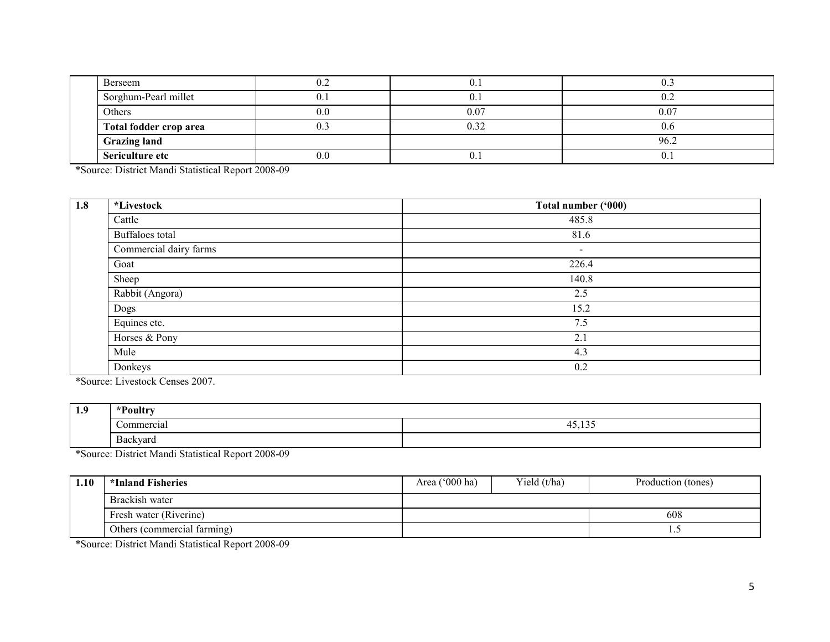|  | Berseem                | V.A            |      | ∪.∟            |
|--|------------------------|----------------|------|----------------|
|  | Sorghum-Pearl millet   | v.             |      |                |
|  | Others                 | 0.0            | 0.07 | 0.07           |
|  | Total fodder crop area | $\mathsf{v}$ . |      |                |
|  | <b>Grazing land</b>    |                |      | 96.2           |
|  | Sericulture etc        | 0.0            | ∪.⊥  | $\mathbf{U}$ . |

\*Source: District Mandi Statistical Report 2008-09

| 1.8 | <i>*Livestock</i>      | Total number ('000) |
|-----|------------------------|---------------------|
|     | Cattle                 | 485.8               |
|     | Buffaloes total        | 81.6                |
|     | Commercial dairy farms | -                   |
|     | Goat                   | 226.4               |
|     | Sheep                  | 140.8               |
|     | Rabbit (Angora)        | 2.5                 |
|     | Dogs                   | 15.2                |
|     | Equines etc.           | 7.5                 |
|     | Horses & Pony          | 2.1                 |
|     | Mule                   | 4.3                 |
|     | Donkeys                | 0.2                 |

\*Source: Livestock Censes 2007.

| 1.9 | *Poultry                 |                                           |
|-----|--------------------------|-------------------------------------------|
|     | :`ommercial              | 10 <sub>5</sub><br>. .<br>τυ.<br>.<br>. . |
|     | $\mathbf{r}$<br>Backvard |                                           |

\*Source: District Mandi Statistical Report 2008-09

| 1.10 | *Inland Fisheries           | Area $('000 ha)$ | Yield (t/ha) | Production (tones) |
|------|-----------------------------|------------------|--------------|--------------------|
|      | Brackish water              |                  |              |                    |
|      | Fresh water (Riverine)      |                  |              | 608                |
|      | Others (commercial farming) |                  |              | .                  |

\*Source: District Mandi Statistical Report 2008-09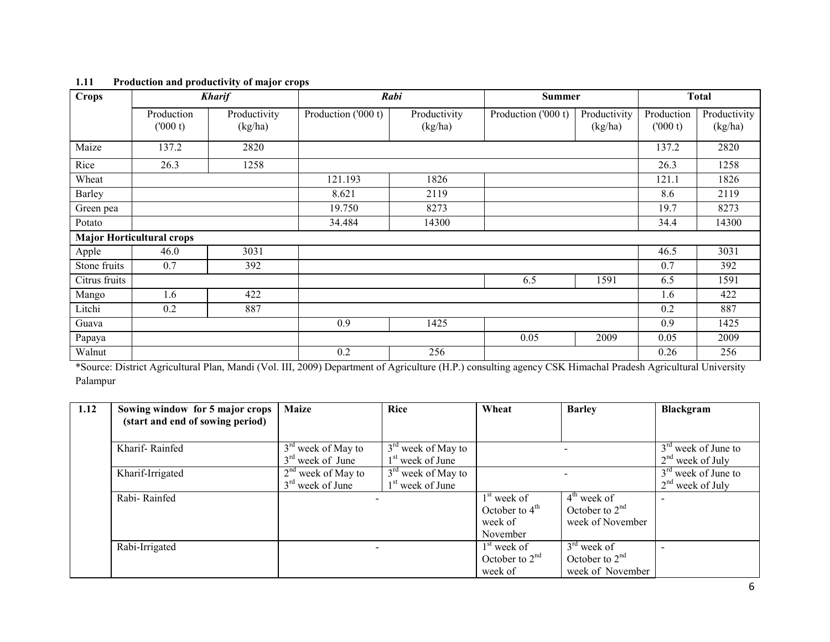| <b>Crops</b>  |                                  | <b>Kharif</b>           | Rabi                |                         | <b>Summer</b>       |                         | <b>Total</b>          |                         |
|---------------|----------------------------------|-------------------------|---------------------|-------------------------|---------------------|-------------------------|-----------------------|-------------------------|
|               | Production<br>(000 t)            | Productivity<br>(kg/ha) | Production ('000 t) | Productivity<br>(kg/ha) | Production ('000 t) | Productivity<br>(kg/ha) | Production<br>(000 t) | Productivity<br>(kg/ha) |
| Maize         | 137.2                            | 2820                    |                     |                         |                     |                         | 137.2                 | 2820                    |
| Rice          | 26.3                             | 1258                    |                     |                         |                     |                         | 26.3                  | 1258                    |
| Wheat         |                                  |                         | 121.193             | 1826                    |                     |                         | 121.1                 | 1826                    |
| Barley        |                                  |                         | 8.621               | 2119                    |                     |                         | 8.6                   | 2119                    |
| Green pea     |                                  |                         | 19.750              | 8273                    |                     |                         | 19.7                  | 8273                    |
| Potato        |                                  |                         | 34.484              | 14300                   |                     |                         | 34.4                  | 14300                   |
|               | <b>Major Horticultural crops</b> |                         |                     |                         |                     |                         |                       |                         |
| Apple         | 46.0                             | 3031                    |                     |                         |                     |                         | 46.5                  | 3031                    |
| Stone fruits  | 0.7                              | 392                     |                     |                         |                     |                         | 0.7                   | 392                     |
| Citrus fruits |                                  |                         |                     |                         | 6.5                 | 1591                    | 6.5                   | 1591                    |
| Mango         | 1.6                              | 422                     |                     |                         |                     |                         | 1.6                   | 422                     |
| Litchi        | 0.2                              | 887                     |                     |                         |                     |                         | 0.2                   | 887                     |
| Guava         |                                  |                         | 0.9                 | 1425                    |                     |                         | 0.9                   | 1425                    |
| Papaya        |                                  |                         |                     |                         | 0.05                | 2009                    | 0.05                  | 2009                    |
| Walnut        |                                  |                         | 0.2                 | 256                     |                     |                         | 0.26                  | 256                     |

#### 1.11 Production and productivity of major crops

 \*Source: District Agricultural Plan, Mandi (Vol. III, 2009) Department of Agriculture (H.P.) consulting agency CSK Himachal Pradesh Agricultural University Palampur

| 1.12 | Sowing window for 5 major crops  | <b>Maize</b>         | Rice                         | Wheat            | <b>Barley</b>    | Blackgram             |
|------|----------------------------------|----------------------|------------------------------|------------------|------------------|-----------------------|
|      | (start and end of sowing period) |                      |                              |                  |                  |                       |
|      |                                  |                      |                              |                  |                  |                       |
|      | Kharif-Rainfed                   | $3rd$ week of May to | $3rd$ week of May to         |                  |                  | $3rd$ week of June to |
|      |                                  | $3rd$ week of June   | 1 <sup>st</sup> week of June |                  |                  | $2nd$ week of July    |
|      | Kharif-Irrigated                 | $2nd$ week of May to | $3rd$ week of May to         |                  |                  | $3rd$ week of June to |
|      |                                  | $3rd$ week of June   | 1 <sup>st</sup> week of June |                  |                  | $2nd$ week of July    |
|      | Rabi-Rainfed                     |                      |                              | $1st$ week of    | $4th$ week of    |                       |
|      |                                  |                      |                              | October to $4th$ | October to $2nd$ |                       |
|      |                                  |                      |                              | week of          | week of November |                       |
|      |                                  |                      |                              | November         |                  |                       |
|      | Rabi-Irrigated                   |                      |                              | $1st$ week of    | $3rd$ week of    |                       |
|      |                                  |                      |                              | October to $2nd$ | October to $2nd$ |                       |
|      |                                  |                      |                              | week of          | week of November |                       |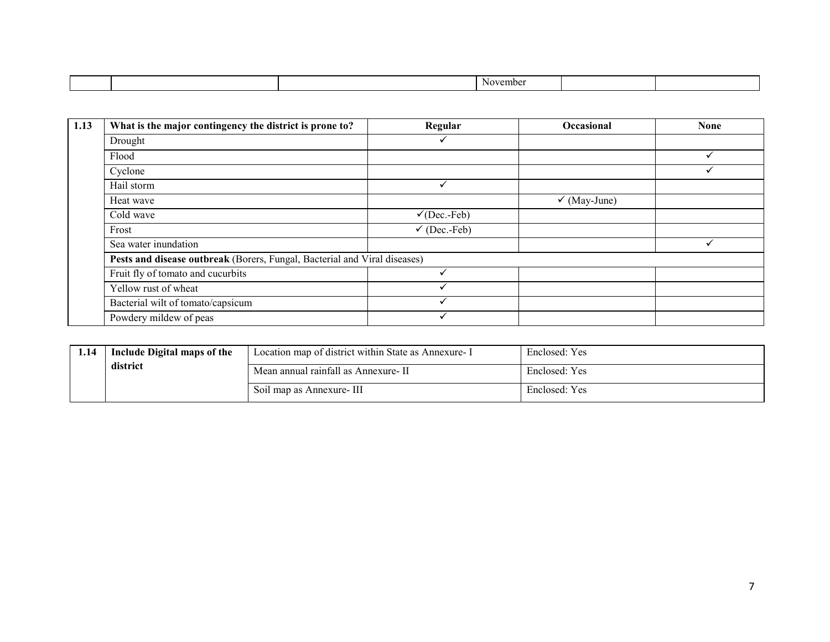| -<br>ovemne<br>. . |
|--------------------|

| 1.13 | What is the major contingency the district is prone to?                   | Regular                 | Occasional              | <b>None</b> |  |  |  |
|------|---------------------------------------------------------------------------|-------------------------|-------------------------|-------------|--|--|--|
|      | Drought                                                                   |                         |                         |             |  |  |  |
|      | Flood                                                                     |                         |                         |             |  |  |  |
|      | Cyclone                                                                   |                         |                         |             |  |  |  |
|      | Hail storm                                                                | ✓                       |                         |             |  |  |  |
|      | Heat wave                                                                 |                         | $\checkmark$ (May-June) |             |  |  |  |
|      | Cold wave                                                                 | $\checkmark$ (Dec.-Feb) |                         |             |  |  |  |
|      | Frost                                                                     | $\checkmark$ (Dec.-Feb) |                         |             |  |  |  |
|      | Sea water inundation                                                      |                         |                         |             |  |  |  |
|      | Pests and disease outbreak (Borers, Fungal, Bacterial and Viral diseases) |                         |                         |             |  |  |  |
|      | Fruit fly of tomato and cucurbits                                         | √                       |                         |             |  |  |  |
|      | Yellow rust of wheat                                                      | ୰                       |                         |             |  |  |  |
|      | Bacterial wilt of tomato/capsicum                                         | $\checkmark$            |                         |             |  |  |  |
|      | Powdery mildew of peas                                                    | ✔                       |                         |             |  |  |  |

| 1.14 | Include Digital maps of the | Location map of district within State as Annexure - I | Enclosed: Yes |
|------|-----------------------------|-------------------------------------------------------|---------------|
|      | district                    | Mean annual rainfall as Annexure-II                   | Enclosed: Yes |
|      |                             | Soil map as Annexure-III                              | Enclosed: Yes |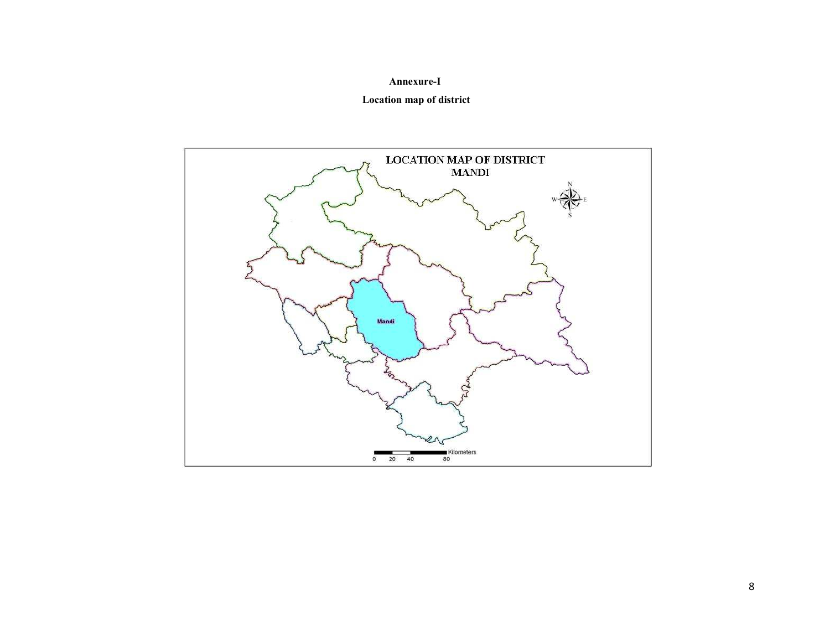#### Annexure-I

## Location map of district

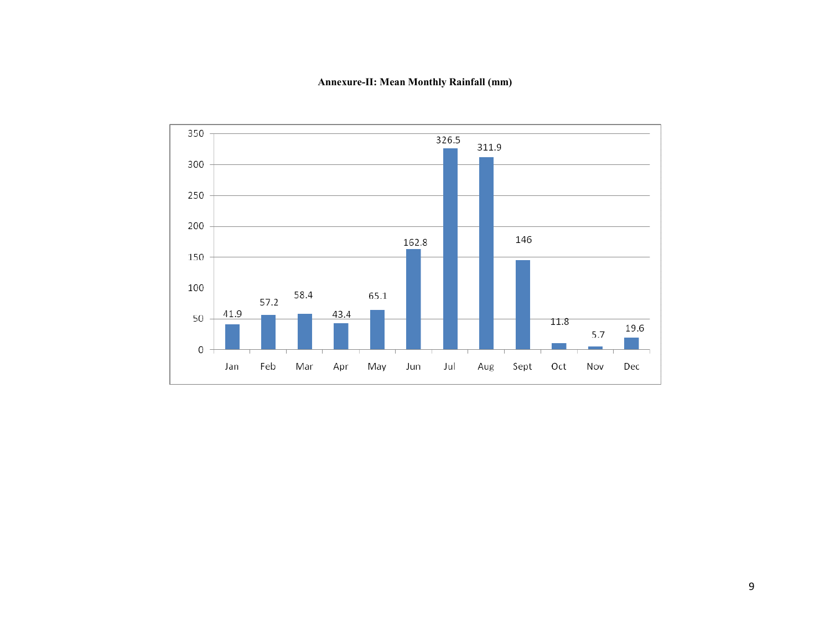Annexure-II: Mean Monthly Rainfall (mm)

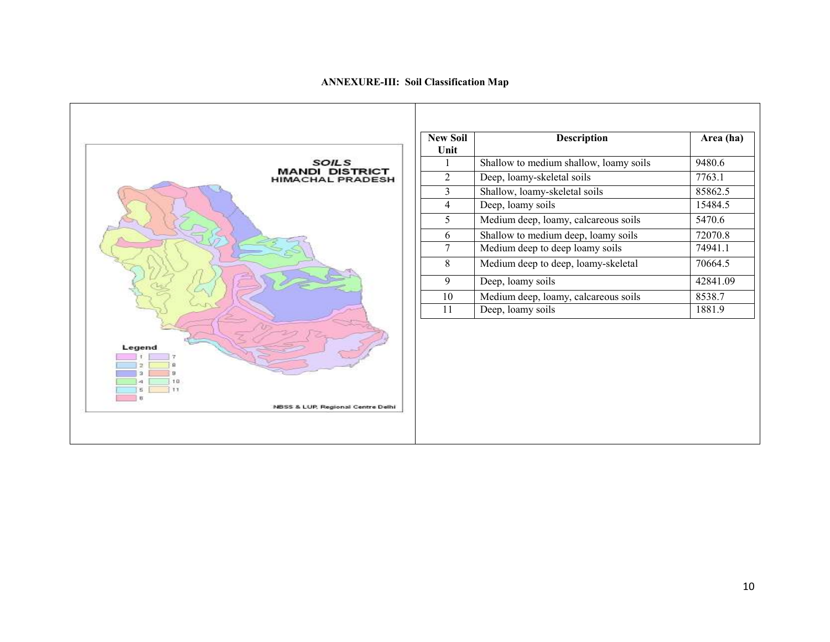#### ANNEXURE-III: Soil Classification Map



| <b>New Soil</b><br>Unit | <b>Description</b>                     | Area (ha) |
|-------------------------|----------------------------------------|-----------|
|                         | Shallow to medium shallow, loamy soils | 9480.6    |
| $\overline{2}$          | Deep, loamy-skeletal soils             | 7763.1    |
| 3                       | Shallow, loamy-skeletal soils          | 85862.5   |
| 4                       | Deep, loamy soils                      | 15484.5   |
| 5                       | Medium deep, loamy, calcareous soils   | 5470.6    |
| 6                       | Shallow to medium deep, loamy soils    | 72070.8   |
| 7                       | Medium deep to deep loamy soils        | 74941.1   |
| 8                       | Medium deep to deep, loamy-skeletal    | 70664.5   |
| 9                       | Deep, loamy soils                      | 42841.09  |
| 10                      | Medium deep, loamy, calcareous soils   | 8538.7    |
| 11                      | Deep, loamy soils                      | 1881.9    |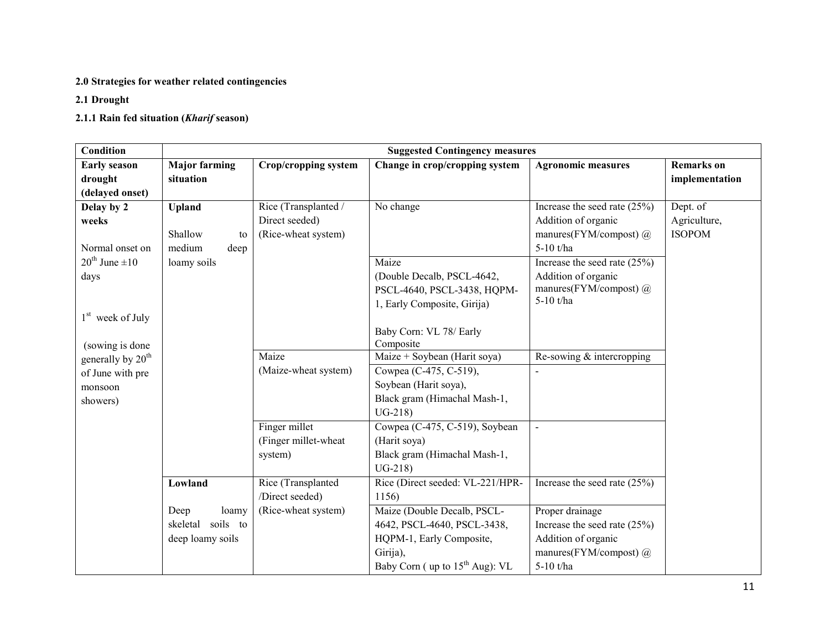## 2.0 Strategies for weather related contingencies

# 2.1 Drought

# 2.1.1 Rain fed situation (Kharif season)

| <b>Condition</b>               | <b>Suggested Contingency measures</b> |                      |                                  |                                |                   |  |
|--------------------------------|---------------------------------------|----------------------|----------------------------------|--------------------------------|-------------------|--|
| <b>Early season</b>            | <b>Major farming</b>                  | Crop/cropping system | Change in crop/cropping system   | <b>Agronomic measures</b>      | <b>Remarks</b> on |  |
| drought                        | situation                             |                      |                                  |                                | implementation    |  |
| (delayed onset)                |                                       |                      |                                  |                                |                   |  |
| Delay by 2                     | <b>Upland</b>                         | Rice (Transplanted / | No change                        | Increase the seed rate $(25%)$ | Dept. of          |  |
| weeks                          |                                       | Direct seeded)       |                                  | Addition of organic            | Agriculture,      |  |
|                                | Shallow<br>to                         | (Rice-wheat system)  |                                  | manures(FYM/compost) $(a)$     | <b>ISOPOM</b>     |  |
| Normal onset on                | medium<br>deep                        |                      |                                  | 5-10 t/ha                      |                   |  |
| $20^{\text{th}}$ June $\pm 10$ | loamy soils                           |                      | Maize                            | Increase the seed rate $(25%)$ |                   |  |
| days                           |                                       |                      | (Double Decalb, PSCL-4642,       | Addition of organic            |                   |  |
|                                |                                       |                      | PSCL-4640, PSCL-3438, HQPM-      | manures(FYM/compost) @         |                   |  |
|                                |                                       |                      | 1, Early Composite, Girija)      | 5-10 t/ha                      |                   |  |
| $1st$ week of July             |                                       |                      |                                  |                                |                   |  |
|                                |                                       |                      | Baby Corn: VL 78/ Early          |                                |                   |  |
| (sowing is done                |                                       |                      | Composite                        |                                |                   |  |
| generally by 20 <sup>th</sup>  |                                       | Maize                | Maize + Soybean (Harit soya)     | Re-sowing & intercropping      |                   |  |
| of June with pre               |                                       | (Maize-wheat system) | Cowpea (C-475, C-519),           |                                |                   |  |
| monsoon                        |                                       |                      | Soybean (Harit soya),            |                                |                   |  |
| showers)                       |                                       |                      | Black gram (Himachal Mash-1,     |                                |                   |  |
|                                |                                       |                      | $UG-218$                         |                                |                   |  |
|                                |                                       | Finger millet        | Cowpea (C-475, C-519), Soybean   | $\blacksquare$                 |                   |  |
|                                |                                       | (Finger millet-wheat | (Harit soya)                     |                                |                   |  |
|                                |                                       | system)              | Black gram (Himachal Mash-1,     |                                |                   |  |
|                                |                                       |                      | $UG-218$                         |                                |                   |  |
|                                | Lowland                               | Rice (Transplanted   | Rice (Direct seeded: VL-221/HPR- | Increase the seed rate $(25%)$ |                   |  |
|                                |                                       | /Direct seeded)      | 1156)                            |                                |                   |  |
|                                | Deep<br>loamy                         | (Rice-wheat system)  | Maize (Double Decalb, PSCL-      | Proper drainage                |                   |  |
|                                | soils to<br>skeletal                  |                      | 4642, PSCL-4640, PSCL-3438,      | Increase the seed rate $(25%)$ |                   |  |
|                                | deep loamy soils                      |                      | HQPM-1, Early Composite,         | Addition of organic            |                   |  |
|                                |                                       |                      | Girija),                         | manures(FYM/compost) $\omega$  |                   |  |
|                                |                                       |                      | Baby Corn (up to $15th$ Aug): VL | 5-10 t/ha                      |                   |  |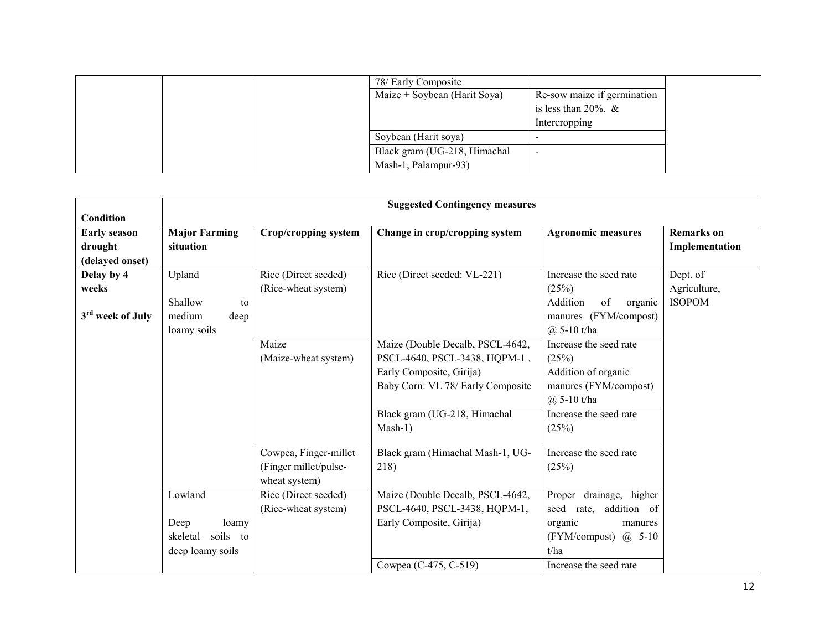|  | 78/ Early Composite          |                             |  |
|--|------------------------------|-----------------------------|--|
|  | Maize + Soybean (Harit Soya) | Re-sow maize if germination |  |
|  |                              | is less than $20\%$ . &     |  |
|  |                              | Intercropping               |  |
|  | Soybean (Harit soya)         |                             |  |
|  | Black gram (UG-218, Himachal |                             |  |
|  | Mash-1, Palampur-93)         |                             |  |

|                              | <b>Suggested Contingency measures</b> |                       |                                   |                                   |                   |  |
|------------------------------|---------------------------------------|-----------------------|-----------------------------------|-----------------------------------|-------------------|--|
| Condition                    |                                       |                       |                                   |                                   |                   |  |
| <b>Early season</b>          | <b>Major Farming</b>                  | Crop/cropping system  | Change in crop/cropping system    | <b>Agronomic measures</b>         | <b>Remarks</b> on |  |
| drought                      | situation                             |                       |                                   |                                   | Implementation    |  |
| (delayed onset)              |                                       |                       |                                   |                                   |                   |  |
| Delay by 4                   | Upland                                | Rice (Direct seeded)  | Rice (Direct seeded: VL-221)      | Increase the seed rate            | Dept. of          |  |
| weeks                        |                                       | (Rice-wheat system)   |                                   | (25%)                             | Agriculture,      |  |
|                              | Shallow<br>to                         |                       |                                   | Addition<br>of<br>organic         | <b>ISOPOM</b>     |  |
| 3 <sup>rd</sup> week of July | medium<br>deep                        |                       |                                   | manures (FYM/compost)             |                   |  |
|                              | loamy soils                           |                       |                                   | $(a)$ 5-10 t/ha                   |                   |  |
|                              |                                       | Maize                 | Maize (Double Decalb, PSCL-4642,  | Increase the seed rate            |                   |  |
|                              |                                       | (Maize-wheat system)  | PSCL-4640, PSCL-3438, HQPM-1,     | (25%)                             |                   |  |
|                              |                                       |                       | Early Composite, Girija)          | Addition of organic               |                   |  |
|                              |                                       |                       | Baby Corn: VL 78/ Early Composite | manures (FYM/compost)             |                   |  |
|                              |                                       |                       |                                   | $(a)$ 5-10 t/ha                   |                   |  |
|                              |                                       |                       | Black gram (UG-218, Himachal      | Increase the seed rate            |                   |  |
|                              |                                       |                       | Mash-1)                           | (25%)                             |                   |  |
|                              |                                       |                       |                                   |                                   |                   |  |
|                              |                                       | Cowpea, Finger-millet | Black gram (Himachal Mash-1, UG-  | Increase the seed rate            |                   |  |
|                              |                                       | (Finger millet/pulse- | 218)                              | (25%)                             |                   |  |
|                              |                                       | wheat system)         |                                   |                                   |                   |  |
|                              | Lowland                               | Rice (Direct seeded)  | Maize (Double Decalb, PSCL-4642,  | Proper drainage, higher           |                   |  |
|                              |                                       | (Rice-wheat system)   | PSCL-4640, PSCL-3438, HQPM-1,     | addition of<br>seed<br>rate,      |                   |  |
|                              | Deep<br>loamy                         |                       | Early Composite, Girija)          | organic<br>manures                |                   |  |
|                              | skeletal<br>soils to                  |                       |                                   | $(FYM/compost)$ ( <i>a</i> ) 5-10 |                   |  |
|                              | deep loamy soils                      |                       |                                   | t/ha                              |                   |  |
|                              |                                       |                       | Cowpea (C-475, C-519)             | Increase the seed rate            |                   |  |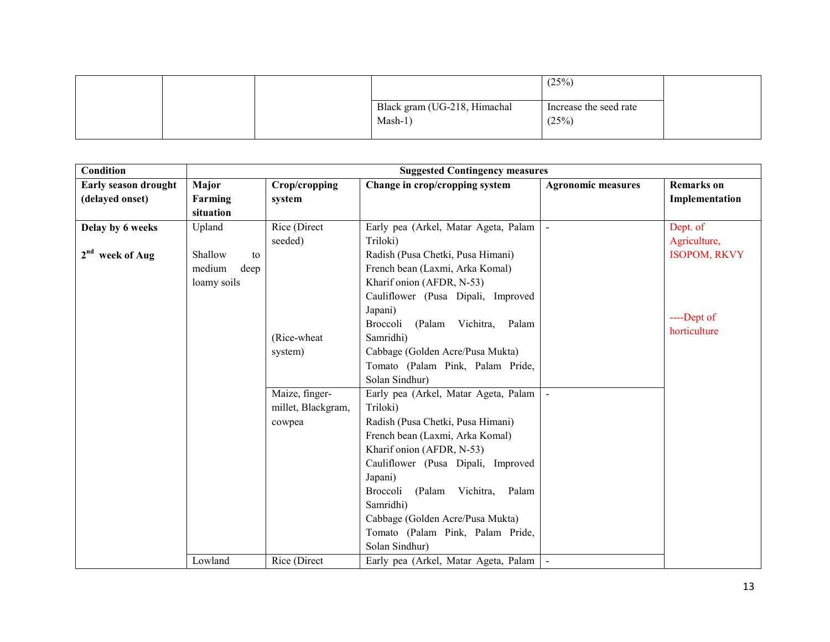|  |                                           | (25%)                           |  |
|--|-------------------------------------------|---------------------------------|--|
|  | Black gram (UG-218, Himachal<br>$Mask-1)$ | Increase the seed rate<br>(25%) |  |
|  |                                           |                                 |  |

| <b>Condition</b>            |                |                    | <b>Suggested Contingency measures</b>        |                           |                     |
|-----------------------------|----------------|--------------------|----------------------------------------------|---------------------------|---------------------|
| <b>Early season drought</b> | Major          | Crop/cropping      | Change in crop/cropping system               | <b>Agronomic measures</b> | <b>Remarks</b> on   |
| (delayed onset)             | Farming        | system             |                                              |                           | Implementation      |
|                             | situation      |                    |                                              |                           |                     |
| Delay by 6 weeks            | Upland         | Rice (Direct       | Early pea (Arkel, Matar Ageta, Palam         |                           | Dept. of            |
|                             |                | seeded)            | Triloki)                                     |                           | Agriculture,        |
| 2 <sup>nd</sup> week of Aug | Shallow<br>to  |                    | Radish (Pusa Chetki, Pusa Himani)            |                           | <b>ISOPOM, RKVY</b> |
|                             | medium<br>deep |                    | French bean (Laxmi, Arka Komal)              |                           |                     |
|                             | loamy soils    |                    | Kharif onion (AFDR, N-53)                    |                           |                     |
|                             |                |                    | Cauliflower (Pusa Dipali, Improved           |                           |                     |
|                             |                |                    | Japani)                                      |                           | ----Dept of         |
|                             |                |                    | <b>Broccoli</b><br>(Palam Vichitra,<br>Palam |                           | horticulture        |
|                             |                | (Rice-wheat        | Samridhi)                                    |                           |                     |
|                             |                | system)            | Cabbage (Golden Acre/Pusa Mukta)             |                           |                     |
|                             |                |                    | Tomato (Palam Pink, Palam Pride,             |                           |                     |
|                             |                |                    | Solan Sindhur)                               |                           |                     |
|                             |                | Maize, finger-     | Early pea (Arkel, Matar Ageta, Palam         |                           |                     |
|                             |                | millet, Blackgram, | Triloki)                                     |                           |                     |
|                             |                | cowpea             | Radish (Pusa Chetki, Pusa Himani)            |                           |                     |
|                             |                |                    | French bean (Laxmi, Arka Komal)              |                           |                     |
|                             |                |                    | Kharif onion (AFDR, N-53)                    |                           |                     |
|                             |                |                    | Cauliflower (Pusa Dipali, Improved           |                           |                     |
|                             |                |                    | Japani)                                      |                           |                     |
|                             |                |                    | Broccoli<br>(Palam<br>Vichitra,<br>Palam     |                           |                     |
|                             |                |                    | Samridhi)                                    |                           |                     |
|                             |                |                    | Cabbage (Golden Acre/Pusa Mukta)             |                           |                     |
|                             |                |                    | Tomato (Palam Pink, Palam Pride,             |                           |                     |
|                             |                |                    | Solan Sindhur)                               |                           |                     |
|                             | Lowland        | Rice (Direct       | Early pea (Arkel, Matar Ageta, Palam         |                           |                     |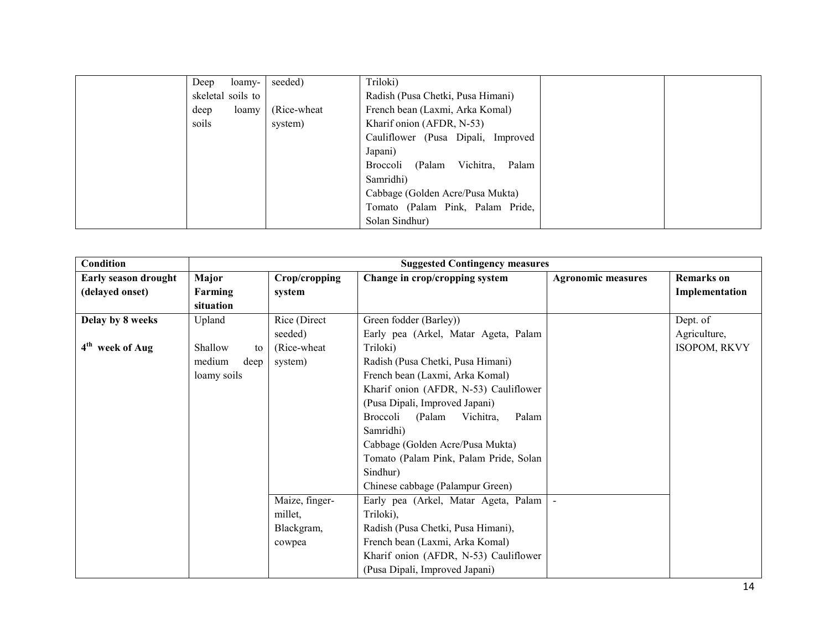| Deep<br>loamy-    | seeded)               | Triloki)                                 |  |
|-------------------|-----------------------|------------------------------------------|--|
| skeletal soils to |                       | Radish (Pusa Chetki, Pusa Himani)        |  |
| deep              | (Rice-wheat)<br>loamy | French bean (Laxmi, Arka Komal)          |  |
| soils             | system)               | Kharif onion (AFDR, N-53)                |  |
|                   |                       | Cauliflower (Pusa Dipali, Improved       |  |
|                   |                       | Japani)                                  |  |
|                   |                       | Vichitra,<br>Palam<br>Broccoli<br>(Palam |  |
|                   |                       | Samridhi)                                |  |
|                   |                       | Cabbage (Golden Acre/Pusa Mukta)         |  |
|                   |                       | Tomato (Palam Pink, Palam Pride,         |  |
|                   |                       | Solan Sindhur)                           |  |

| Condition                   |                |                | <b>Suggested Contingency measures</b>    |                           |                |
|-----------------------------|----------------|----------------|------------------------------------------|---------------------------|----------------|
| Early season drought        | Major          | Crop/cropping  | Change in crop/cropping system           | <b>Agronomic measures</b> | Remarks on     |
| (delayed onset)             | Farming        | system         |                                          |                           | Implementation |
|                             | situation      |                |                                          |                           |                |
| Delay by 8 weeks            | Upland         | Rice (Direct   | Green fodder (Barley))                   |                           | Dept. of       |
|                             |                | seeded)        | Early pea (Arkel, Matar Ageta, Palam     |                           | Agriculture,   |
| 4 <sup>th</sup> week of Aug | Shallow<br>to  | (Rice-wheat)   | Triloki)                                 |                           | ISOPOM, RKVY   |
|                             | medium<br>deep | system)        | Radish (Pusa Chetki, Pusa Himani)        |                           |                |
|                             | loamy soils    |                | French bean (Laxmi, Arka Komal)          |                           |                |
|                             |                |                | Kharif onion (AFDR, N-53) Cauliflower    |                           |                |
|                             |                |                | (Pusa Dipali, Improved Japani)           |                           |                |
|                             |                |                | Broccoli<br>(Palam<br>Vichitra,<br>Palam |                           |                |
|                             |                |                | Samridhi)                                |                           |                |
|                             |                |                | Cabbage (Golden Acre/Pusa Mukta)         |                           |                |
|                             |                |                | Tomato (Palam Pink, Palam Pride, Solan   |                           |                |
|                             |                |                | Sindhur)                                 |                           |                |
|                             |                |                | Chinese cabbage (Palampur Green)         |                           |                |
|                             |                | Maize, finger- | Early pea (Arkel, Matar Ageta, Palam     |                           |                |
|                             |                | millet,        | Triloki),                                |                           |                |
|                             |                | Blackgram,     | Radish (Pusa Chetki, Pusa Himani),       |                           |                |
|                             |                | cowpea         | French bean (Laxmi, Arka Komal)          |                           |                |
|                             |                |                | Kharif onion (AFDR, N-53) Cauliflower    |                           |                |
|                             |                |                | (Pusa Dipali, Improved Japani)           |                           |                |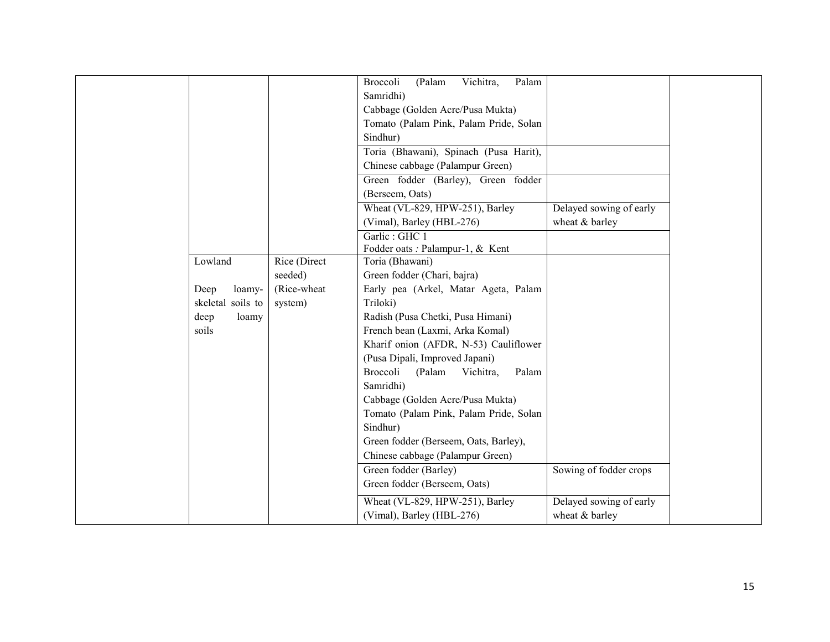|                   |              | (Palam<br>Vichitra,<br>Palam<br>Broccoli |                         |
|-------------------|--------------|------------------------------------------|-------------------------|
|                   |              | Samridhi)                                |                         |
|                   |              | Cabbage (Golden Acre/Pusa Mukta)         |                         |
|                   |              | Tomato (Palam Pink, Palam Pride, Solan   |                         |
|                   |              | Sindhur)                                 |                         |
|                   |              | Toria (Bhawani), Spinach (Pusa Harit),   |                         |
|                   |              | Chinese cabbage (Palampur Green)         |                         |
|                   |              | Green fodder (Barley), Green fodder      |                         |
|                   |              | (Berseem, Oats)                          |                         |
|                   |              | Wheat (VL-829, HPW-251), Barley          | Delayed sowing of early |
|                   |              | (Vimal), Barley (HBL-276)                | wheat & barley          |
|                   |              | Garlic: GHC 1                            |                         |
|                   |              | Fodder oats : Palampur-1, & Kent         |                         |
| Lowland           | Rice (Direct | Toria (Bhawani)                          |                         |
|                   | seeded)      | Green fodder (Chari, bajra)              |                         |
| Deep<br>loamy-    | (Rice-wheat  | Early pea (Arkel, Matar Ageta, Palam     |                         |
| skeletal soils to | system)      | Triloki)                                 |                         |
| deep<br>loamy     |              | Radish (Pusa Chetki, Pusa Himani)        |                         |
| soils             |              | French bean (Laxmi, Arka Komal)          |                         |
|                   |              | Kharif onion (AFDR, N-53) Cauliflower    |                         |
|                   |              | (Pusa Dipali, Improved Japani)           |                         |
|                   |              | Broccoli<br>(Palam<br>Vichitra,<br>Palam |                         |
|                   |              | Samridhi)                                |                         |
|                   |              | Cabbage (Golden Acre/Pusa Mukta)         |                         |
|                   |              | Tomato (Palam Pink, Palam Pride, Solan   |                         |
|                   |              | Sindhur)                                 |                         |
|                   |              | Green fodder (Berseem, Oats, Barley),    |                         |
|                   |              | Chinese cabbage (Palampur Green)         |                         |
|                   |              | Green fodder (Barley)                    | Sowing of fodder crops  |
|                   |              | Green fodder (Berseem, Oats)             |                         |
|                   |              | Wheat (VL-829, HPW-251), Barley          | Delayed sowing of early |
|                   |              | (Vimal), Barley (HBL-276)                | wheat & barley          |
|                   |              |                                          |                         |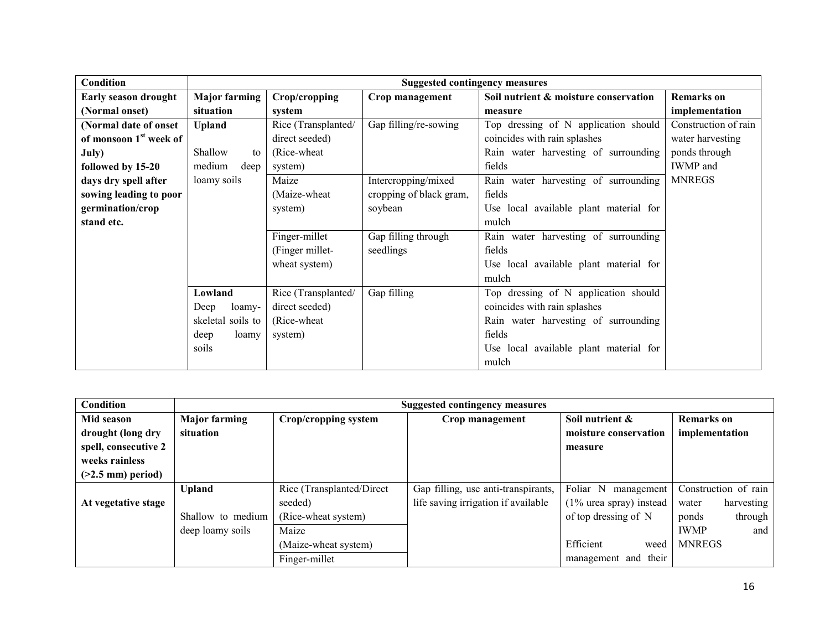| Condition                          |                      |                     | <b>Suggested contingency measures</b> |                                        |                      |
|------------------------------------|----------------------|---------------------|---------------------------------------|----------------------------------------|----------------------|
| Early season drought               | <b>Major farming</b> | Crop/cropping       | Crop management                       | Soil nutrient & moisture conservation  | <b>Remarks on</b>    |
| (Normal onset)                     | situation            | system              |                                       | measure                                | implementation       |
| (Normal date of onset              | <b>Upland</b>        | Rice (Transplanted/ | Gap filling/re-sowing                 | Top dressing of N application should   | Construction of rain |
| of monsoon 1 <sup>st</sup> week of |                      | direct seeded)      |                                       | coincides with rain splashes           | water harvesting     |
| July)                              | Shallow<br>to        | (Rice-wheat)        |                                       | Rain water harvesting of surrounding   | ponds through        |
| followed by 15-20                  | medium<br>deep       | system)             |                                       | fields                                 | <b>IWMP</b> and      |
| days dry spell after               | loamy soils          | Maize               | Intercropping/mixed                   | Rain water harvesting of surrounding   | <b>MNREGS</b>        |
| sowing leading to poor             |                      | (Maize-wheat)       | cropping of black gram,               | fields                                 |                      |
| germination/crop                   |                      | system)             | soybean                               | Use local available plant material for |                      |
| stand etc.                         |                      |                     |                                       | mulch                                  |                      |
|                                    |                      | Finger-millet       | Gap filling through                   | Rain water harvesting of surrounding   |                      |
|                                    |                      | (Finger millet-     | seedlings                             | fields                                 |                      |
|                                    |                      | wheat system)       |                                       | Use local available plant material for |                      |
|                                    |                      |                     |                                       | mulch                                  |                      |
|                                    | Lowland              | Rice (Transplanted/ | Gap filling                           | Top dressing of N application should   |                      |
|                                    | Deep<br>loamy-       | direct seeded)      |                                       | coincides with rain splashes           |                      |
|                                    | soils to<br>skeletal | (Rice-wheat)        |                                       | Rain water harvesting of surrounding   |                      |
|                                    | deep<br>loamy        | system)             |                                       | fields                                 |                      |
|                                    | soils                |                     |                                       | Use local available plant material for |                      |
|                                    |                      |                     |                                       | mulch                                  |                      |

| Condition            |                      | <b>Suggested contingency measures</b> |                                     |                            |                      |  |  |  |  |
|----------------------|----------------------|---------------------------------------|-------------------------------------|----------------------------|----------------------|--|--|--|--|
| Mid season           | <b>Major farming</b> | Crop/cropping system                  | Crop management                     | Soil nutrient &            | <b>Remarks</b> on    |  |  |  |  |
| drought (long dry    | situation            |                                       |                                     | moisture conservation      | implementation       |  |  |  |  |
| spell, consecutive 2 |                      |                                       |                                     | measure                    |                      |  |  |  |  |
| weeks rainless       |                      |                                       |                                     |                            |                      |  |  |  |  |
| $($ >2.5 mm) period) |                      |                                       |                                     |                            |                      |  |  |  |  |
|                      | <b>Upland</b>        | Rice (Transplanted/Direct             | Gap filling, use anti-transpirants, | Foliar N<br>management     | Construction of rain |  |  |  |  |
| At vegetative stage  |                      | seeded)                               | life saving irrigation if available | $(1\%$ urea spray) instead | harvesting<br>water  |  |  |  |  |
|                      | Shallow to medium    | (Rice-wheat system)                   |                                     | of top dressing of N       | through<br>ponds     |  |  |  |  |
|                      | deep loamy soils     | Maize                                 |                                     |                            | <b>IWMP</b><br>and   |  |  |  |  |
|                      |                      | (Maize-wheat system)                  |                                     | Efficient<br>weed          | <b>MNREGS</b>        |  |  |  |  |
|                      |                      | Finger-millet                         |                                     | management and their       |                      |  |  |  |  |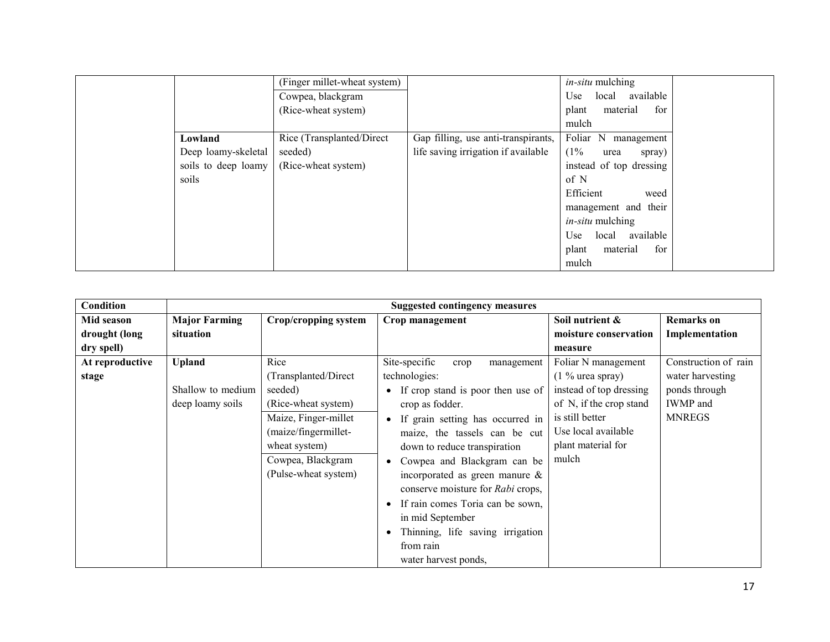|                     | (Finger millet-wheat system) |                                     | in-situ mulching          |  |
|---------------------|------------------------------|-------------------------------------|---------------------------|--|
|                     | Cowpea, blackgram            |                                     | available<br>local<br>Use |  |
|                     | (Rice-wheat system)          |                                     | for<br>material<br>plant  |  |
|                     |                              |                                     | mulch                     |  |
| Lowland             | Rice (Transplanted/Direct    | Gap filling, use anti-transpirants, | Foliar N<br>management    |  |
| Deep loamy-skeletal | seeded)                      | life saving irrigation if available | (1%<br>urea<br>spray)     |  |
| soils to deep loamy | (Rice-wheat system)          |                                     | instead of top dressing   |  |
| soils               |                              |                                     | of N                      |  |
|                     |                              |                                     | Efficient<br>weed         |  |
|                     |                              |                                     | management and their      |  |
|                     |                              |                                     | <i>in-situ</i> mulching   |  |
|                     |                              |                                     | local available<br>Use    |  |
|                     |                              |                                     | material<br>for<br>plant  |  |
|                     |                              |                                     | mulch                     |  |

| <b>Condition</b> |                      |                      | <b>Suggested contingency measures</b>    |                         |                      |
|------------------|----------------------|----------------------|------------------------------------------|-------------------------|----------------------|
| Mid season       | <b>Major Farming</b> | Crop/cropping system | Crop management                          | Soil nutrient &         | <b>Remarks</b> on    |
| drought (long    | situation            |                      |                                          | moisture conservation   | Implementation       |
| dry spell)       |                      |                      |                                          | measure                 |                      |
| At reproductive  | <b>Upland</b>        | Rice                 | Site-specific<br>management<br>crop      | Foliar N management     | Construction of rain |
| stage            |                      | (Transplanted/Direct | technologies:                            | $(1\%$ urea spray)      | water harvesting     |
|                  | Shallow to medium    | seeded)              | • If crop stand is poor then use of      | instead of top dressing | ponds through        |
|                  | deep loamy soils     | (Rice-wheat system)  | crop as fodder.                          | of N, if the crop stand | <b>IWMP</b> and      |
|                  |                      | Maize, Finger-millet | If grain setting has occurred in         | is still better         | <b>MNREGS</b>        |
|                  |                      | (maize/fingermillet- | maize, the tassels can be cut            | Use local available     |                      |
|                  |                      | wheat system)        | down to reduce transpiration             | plant material for      |                      |
|                  |                      | Cowpea, Blackgram    | Cowpea and Blackgram can be<br>$\bullet$ | mulch                   |                      |
|                  |                      | (Pulse-wheat system) | incorporated as green manure $\&$        |                         |                      |
|                  |                      |                      | conserve moisture for Rabi crops,        |                         |                      |
|                  |                      |                      | If rain comes Toria can be sown,         |                         |                      |
|                  |                      |                      | in mid September                         |                         |                      |
|                  |                      |                      | Thinning, life saving irrigation         |                         |                      |
|                  |                      |                      | from rain                                |                         |                      |
|                  |                      |                      | water harvest ponds,                     |                         |                      |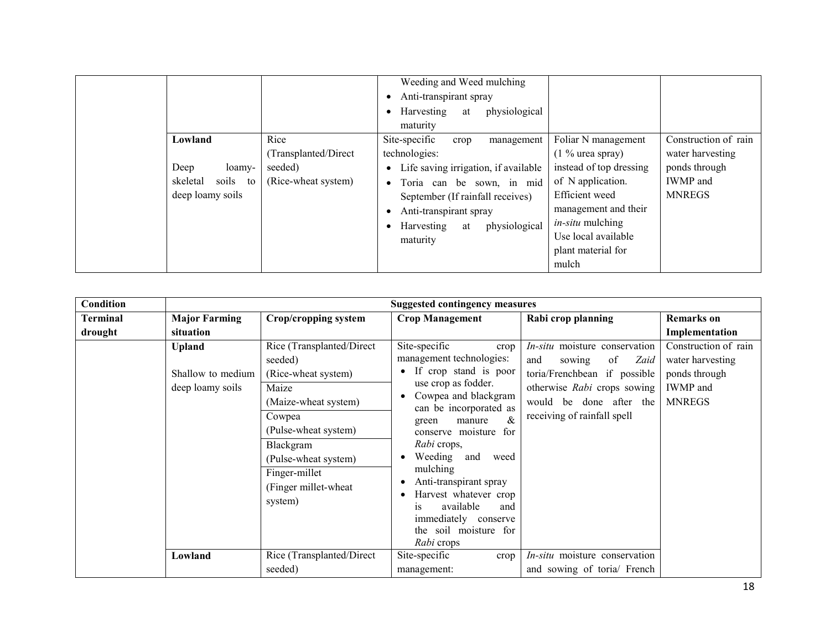|                                                                       |                                                                | Weeding and Weed mulching<br>Anti-transpirant spray<br>$\bullet$<br>physiological<br>Harvesting<br>at<br>$\bullet$<br>maturity                                                                                                               |                                                                                                                                                                                                                      |                                                                                               |
|-----------------------------------------------------------------------|----------------------------------------------------------------|----------------------------------------------------------------------------------------------------------------------------------------------------------------------------------------------------------------------------------------------|----------------------------------------------------------------------------------------------------------------------------------------------------------------------------------------------------------------------|-----------------------------------------------------------------------------------------------|
| Lowland<br>Deep<br>loamy-<br>soils to<br>skeletal<br>deep loamy soils | Rice<br>(Transplanted/Direct<br>seeded)<br>(Rice-wheat system) | Site-specific<br>management<br>crop<br>technologies:<br>Life saving irrigation, if available<br>· Toria can be sown, in mid<br>September (If rainfall receives)<br>Anti-transpirant spray<br>physiological<br>• Harvesting<br>at<br>maturity | Foliar N management<br>$(1\%$ urea spray)<br>instead of top dressing<br>of N application.<br>Efficient weed<br>management and their<br><i>in-situ</i> mulching<br>Use local available<br>plant material for<br>mulch | Construction of rain<br>water harvesting<br>ponds through<br><b>IWMP</b> and<br><b>MNREGS</b> |

| Condition |                                                        | <b>Suggested contingency measures</b>                                                                                                                                                                                    |                                                                                                                                                                                                                                                                                                                                                                                                                     |                                                                                                                                                                                       |                                                                                               |  |  |  |  |
|-----------|--------------------------------------------------------|--------------------------------------------------------------------------------------------------------------------------------------------------------------------------------------------------------------------------|---------------------------------------------------------------------------------------------------------------------------------------------------------------------------------------------------------------------------------------------------------------------------------------------------------------------------------------------------------------------------------------------------------------------|---------------------------------------------------------------------------------------------------------------------------------------------------------------------------------------|-----------------------------------------------------------------------------------------------|--|--|--|--|
| Terminal  | <b>Major Farming</b>                                   | Crop/cropping system                                                                                                                                                                                                     | <b>Crop Management</b>                                                                                                                                                                                                                                                                                                                                                                                              | Rabi crop planning                                                                                                                                                                    | <b>Remarks</b> on                                                                             |  |  |  |  |
| drought   | situation                                              |                                                                                                                                                                                                                          |                                                                                                                                                                                                                                                                                                                                                                                                                     |                                                                                                                                                                                       | Implementation                                                                                |  |  |  |  |
|           | <b>Upland</b><br>Shallow to medium<br>deep loamy soils | Rice (Transplanted/Direct<br>seeded)<br>(Rice-wheat system)<br>Maize<br>(Maize-wheat system)<br>Cowpea<br>(Pulse-wheat system)<br>Blackgram<br>(Pulse-wheat system)<br>Finger-millet<br>(Finger millet-wheat)<br>system) | Site-specific<br>crop<br>management technologies:<br>If crop stand is poor<br>use crop as fodder.<br>Cowpea and blackgram<br>can be incorporated as<br>&<br>manure<br>green<br>conserve moisture<br>for<br>Rabi crops,<br>Weeding and<br>weed<br>mulching<br>Anti-transpirant spray<br>Harvest whatever crop<br>available<br>and<br><b>1S</b><br>immediately conserve<br>the soil moisture for<br><i>Rabi</i> crops | In-situ moisture conservation<br>of<br>sowing<br>Zaid<br>and<br>toria/Frenchbean if possible<br>otherwise Rabi crops sowing<br>would be done after the<br>receiving of rainfall spell | Construction of rain<br>water harvesting<br>ponds through<br><b>IWMP</b> and<br><b>MNREGS</b> |  |  |  |  |
|           | Lowland                                                | Rice (Transplanted/Direct<br>seeded)                                                                                                                                                                                     | Site-specific<br>crop<br>management:                                                                                                                                                                                                                                                                                                                                                                                | <i>In-situ</i> moisture conservation<br>and sowing of toria/ French                                                                                                                   |                                                                                               |  |  |  |  |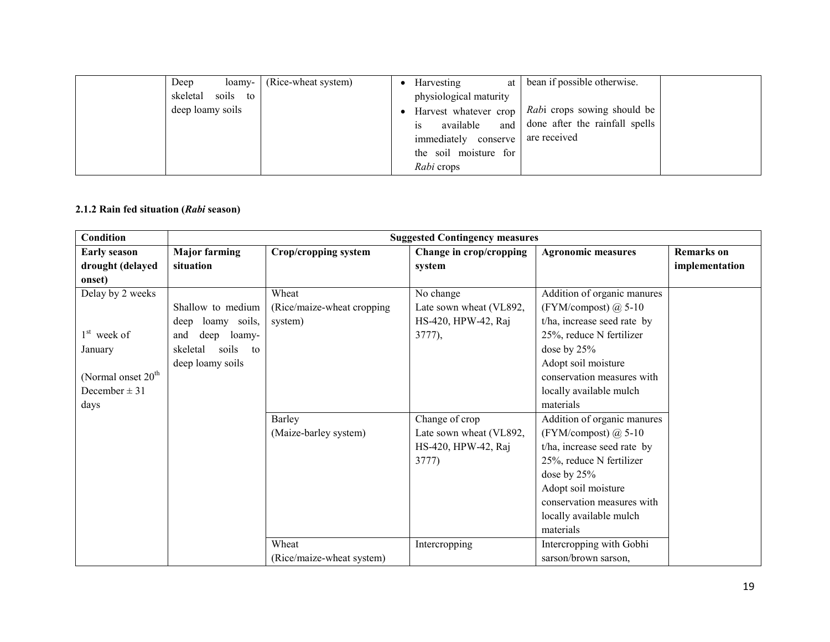| Deep             | loamy-            | (Rice-wheat system) | Harvesting             | at bean if possible otherwise.                      |  |
|------------------|-------------------|---------------------|------------------------|-----------------------------------------------------|--|
|                  | skeletal soils to |                     | physiological maturity |                                                     |  |
| deep loamy soils |                   |                     |                        | Harvest whatever crop   Rabi crops sowing should be |  |
|                  |                   |                     | available<br>1S        | and done after the rainfall spells                  |  |
|                  |                   |                     | immediately conserve   | are received                                        |  |
|                  |                   |                     | the soil moisture for  |                                                     |  |
|                  |                   |                     | Rabi crops             |                                                     |  |

## 2.1.2 Rain fed situation (Rabi season)

| Condition                      | <b>Suggested Contingency measures</b> |                             |                         |                             |                   |  |  |
|--------------------------------|---------------------------------------|-----------------------------|-------------------------|-----------------------------|-------------------|--|--|
| <b>Early season</b>            | <b>Major farming</b>                  | Crop/cropping system        | Change in crop/cropping | <b>Agronomic measures</b>   | <b>Remarks</b> on |  |  |
| drought (delayed               | situation                             |                             | system                  |                             | implementation    |  |  |
| onset)                         |                                       |                             |                         |                             |                   |  |  |
| Delay by 2 weeks               |                                       | Wheat                       | No change               | Addition of organic manures |                   |  |  |
|                                | Shallow to medium                     | (Rice/maize-wheat cropping) | Late sown wheat (VL892, | (FYM/compost) $@$ 5-10      |                   |  |  |
|                                | deep loamy soils,                     | system)                     | HS-420, HPW-42, Raj     | t/ha, increase seed rate by |                   |  |  |
| $1st$ week of                  | and<br>deep<br>loamy-                 |                             | 3777),                  | 25%, reduce N fertilizer    |                   |  |  |
| January                        | soils<br>skeletal<br>to               |                             |                         | dose by $25%$               |                   |  |  |
|                                | deep loamy soils                      |                             |                         | Adopt soil moisture         |                   |  |  |
| (Normal onset 20 <sup>th</sup> |                                       |                             |                         | conservation measures with  |                   |  |  |
| December $\pm$ 31              |                                       |                             |                         | locally available mulch     |                   |  |  |
| days                           |                                       |                             |                         | materials                   |                   |  |  |
|                                |                                       | Barley                      | Change of crop          | Addition of organic manures |                   |  |  |
|                                |                                       | (Maize-barley system)       | Late sown wheat (VL892, | (FYM/compost) $@$ 5-10      |                   |  |  |
|                                |                                       |                             | HS-420, HPW-42, Raj     | t/ha, increase seed rate by |                   |  |  |
|                                |                                       |                             | 3777)                   | 25%, reduce N fertilizer    |                   |  |  |
|                                |                                       |                             |                         | dose by $25%$               |                   |  |  |
|                                |                                       |                             |                         | Adopt soil moisture         |                   |  |  |
|                                |                                       |                             |                         | conservation measures with  |                   |  |  |
|                                |                                       |                             |                         | locally available mulch     |                   |  |  |
|                                |                                       |                             |                         | materials                   |                   |  |  |
|                                |                                       | Wheat                       | Intercropping           | Intercropping with Gobhi    |                   |  |  |
|                                |                                       | (Rice/maize-wheat system)   |                         | sarson/brown sarson,        |                   |  |  |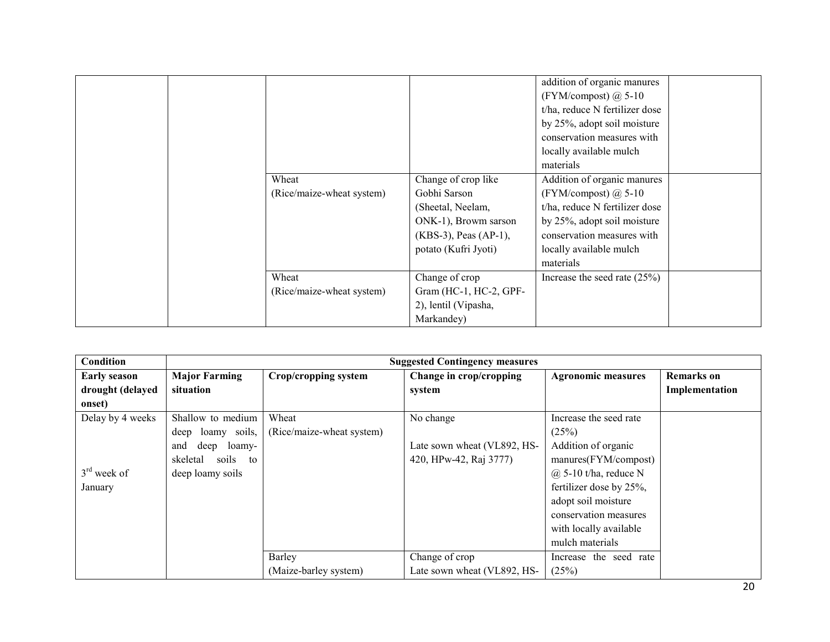|                           |                        | addition of organic manures    |
|---------------------------|------------------------|--------------------------------|
|                           |                        | (FYM/compost) $\omega$ 5-10    |
|                           |                        | t/ha, reduce N fertilizer dose |
|                           |                        | by 25%, adopt soil moisture    |
|                           |                        | conservation measures with     |
|                           |                        | locally available mulch        |
|                           |                        | materials                      |
| Wheat                     | Change of crop like    | Addition of organic manures    |
| (Rice/maize-wheat system) | Gobhi Sarson           | (FYM/compost) $\omega$ 5-10    |
|                           | (Sheetal, Neelam,      | t/ha, reduce N fertilizer dose |
|                           | ONK-1), Browm sarson   | by 25%, adopt soil moisture    |
|                           | (KBS-3), Peas (AP-1),  | conservation measures with     |
|                           | potato (Kufri Jyoti)   | locally available mulch        |
|                           |                        | materials                      |
| Wheat                     | Change of crop         | Increase the seed rate $(25%)$ |
| (Rice/maize-wheat system) | Gram (HC-1, HC-2, GPF- |                                |
|                           | 2), lentil (Vipasha,   |                                |
|                           | Markandey)             |                                |

| Condition           |                         | <b>Suggested Contingency measures</b> |                             |                           |                   |  |  |  |
|---------------------|-------------------------|---------------------------------------|-----------------------------|---------------------------|-------------------|--|--|--|
| <b>Early season</b> | <b>Major Farming</b>    | Crop/cropping system                  | Change in crop/cropping     | <b>Agronomic measures</b> | <b>Remarks</b> on |  |  |  |
| drought (delayed    | situation               |                                       | system                      |                           | Implementation    |  |  |  |
| onset)              |                         |                                       |                             |                           |                   |  |  |  |
| Delay by 4 weeks    | Shallow to medium       | Wheat                                 | No change                   | Increase the seed rate    |                   |  |  |  |
|                     | deep loamy soils,       | (Rice/maize-wheat system)             |                             | (25%)                     |                   |  |  |  |
|                     | deep<br>and<br>loamy-   |                                       | Late sown wheat (VL892, HS- | Addition of organic       |                   |  |  |  |
|                     | skeletal<br>soils<br>to |                                       | 420, HPw-42, Raj 3777)      | manures(FYM/compost)      |                   |  |  |  |
| $3rd$ week of       | deep loamy soils        |                                       |                             | $(a)$ 5-10 t/ha, reduce N |                   |  |  |  |
| January             |                         |                                       |                             | fertilizer dose by 25%,   |                   |  |  |  |
|                     |                         |                                       |                             | adopt soil moisture       |                   |  |  |  |
|                     |                         |                                       |                             | conservation measures     |                   |  |  |  |
|                     |                         |                                       |                             | with locally available    |                   |  |  |  |
|                     |                         |                                       |                             | mulch materials           |                   |  |  |  |
|                     |                         | <b>Barley</b>                         | Change of crop              | Increase the seed rate    |                   |  |  |  |
|                     |                         | (Maize-barley system)                 | Late sown wheat (VL892, HS- | (25%)                     |                   |  |  |  |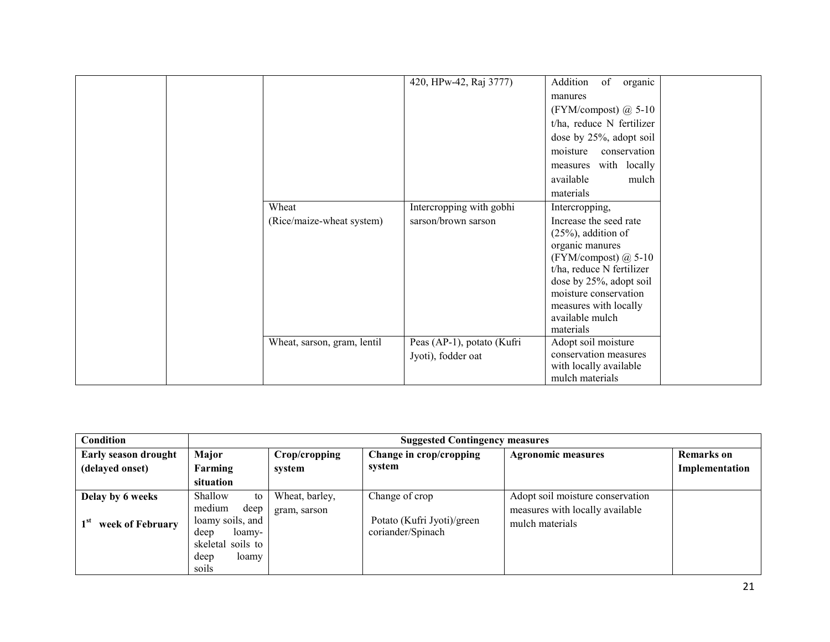|                             | 420, HPw-42, Raj 3777)                           | Addition<br>of<br>organic<br>manures                                                                                              |  |
|-----------------------------|--------------------------------------------------|-----------------------------------------------------------------------------------------------------------------------------------|--|
|                             |                                                  | (FYM/compost) $\omega$ 5-10                                                                                                       |  |
|                             |                                                  | t/ha, reduce N fertilizer                                                                                                         |  |
|                             |                                                  | dose by 25%, adopt soil                                                                                                           |  |
|                             |                                                  | moisture<br>conservation                                                                                                          |  |
|                             |                                                  | with locally<br>measures                                                                                                          |  |
|                             |                                                  | available<br>mulch                                                                                                                |  |
|                             |                                                  | materials                                                                                                                         |  |
| Wheat                       | Intercropping with gobhi                         | Intercropping,                                                                                                                    |  |
| (Rice/maize-wheat system)   | sarson/brown sarson                              | Increase the seed rate                                                                                                            |  |
|                             |                                                  | $(25\%)$ , addition of                                                                                                            |  |
|                             |                                                  | organic manures                                                                                                                   |  |
|                             |                                                  | (FYM/compost) $@$ 5-10<br>t/ha, reduce N fertilizer                                                                               |  |
|                             |                                                  |                                                                                                                                   |  |
|                             |                                                  | moisture conservation                                                                                                             |  |
|                             |                                                  | measures with locally                                                                                                             |  |
|                             |                                                  | available mulch                                                                                                                   |  |
|                             |                                                  |                                                                                                                                   |  |
|                             |                                                  |                                                                                                                                   |  |
|                             |                                                  |                                                                                                                                   |  |
|                             |                                                  |                                                                                                                                   |  |
| Wheat, sarson, gram, lentil | Peas (AP-1), potato (Kufri<br>Jyoti), fodder oat | dose by 25%, adopt soil<br>materials<br>Adopt soil moisture<br>conservation measures<br>with locally available<br>mulch materials |  |

| Condition                   |                                                                                                     | <b>Suggested Contingency measures</b> |                                                 |                                                    |                   |  |  |  |
|-----------------------------|-----------------------------------------------------------------------------------------------------|---------------------------------------|-------------------------------------------------|----------------------------------------------------|-------------------|--|--|--|
| <b>Early season drought</b> | Major                                                                                               | Crop/cropping                         | Change in crop/cropping                         | <b>Agronomic measures</b>                          | <b>Remarks</b> on |  |  |  |
| (delayed onset)             | Farming                                                                                             | system                                | svstem                                          |                                                    | Implementation    |  |  |  |
|                             | situation                                                                                           |                                       |                                                 |                                                    |                   |  |  |  |
| Delay by 6 weeks            | Shallow<br>to                                                                                       | Wheat, barley,                        | Change of crop                                  | Adopt soil moisture conservation                   |                   |  |  |  |
| week of February            | medium<br>deep<br>loamy soils, and<br>deep<br>loamy-<br>skeletal soils to<br>loamy<br>deep<br>soils | gram, sarson                          | Potato (Kufri Jyoti)/green<br>coriander/Spinach | measures with locally available<br>mulch materials |                   |  |  |  |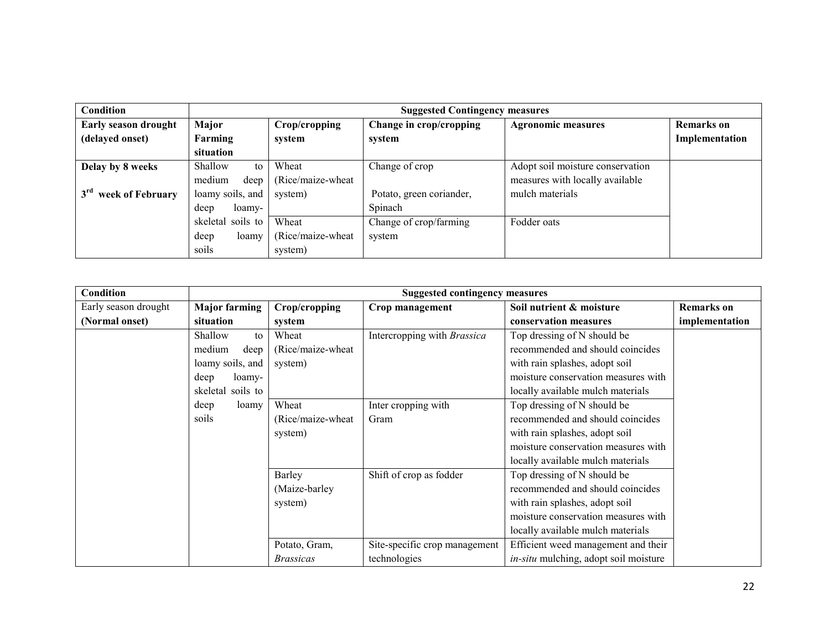| Condition                        |                   | <b>Suggested Contingency measures</b> |                          |                                  |                |  |
|----------------------------------|-------------------|---------------------------------------|--------------------------|----------------------------------|----------------|--|
| <b>Early season drought</b>      | Major             | Crop/cropping                         | Change in crop/cropping  | <b>Agronomic measures</b>        | Remarks on     |  |
| (delayed onset)                  | Farming           | system                                | system                   |                                  | Implementation |  |
|                                  | situation         |                                       |                          |                                  |                |  |
| Delay by 8 weeks                 | Shallow<br>to     | Wheat                                 | Change of crop           | Adopt soil moisture conservation |                |  |
|                                  | medium<br>deep    | (Rice/maize-wheat)                    |                          | measures with locally available  |                |  |
| 3 <sup>rd</sup> week of February | loamy soils, and  | system)                               | Potato, green coriander, | mulch materials                  |                |  |
|                                  | deep<br>loamy-    |                                       | Spinach                  |                                  |                |  |
|                                  | skeletal soils to | Wheat                                 | Change of crop/farming   | Fodder oats                      |                |  |
|                                  | deep<br>loamy     | (Rice/maize-wheat)                    | system                   |                                  |                |  |
|                                  | soils             | system)                               |                          |                                  |                |  |

| Condition            | <b>Suggested contingency measures</b> |                    |                               |                                       |                   |
|----------------------|---------------------------------------|--------------------|-------------------------------|---------------------------------------|-------------------|
| Early season drought | <b>Major farming</b>                  | Crop/cropping      | Crop management               | Soil nutrient & moisture              | <b>Remarks</b> on |
| (Normal onset)       | situation                             | system             |                               | conservation measures                 | implementation    |
|                      | Shallow<br>to                         | Wheat              | Intercropping with Brassica   | Top dressing of N should be           |                   |
|                      | medium<br>deep                        | (Rice/maize-wheat) |                               | recommended and should coincides      |                   |
|                      | loamy soils, and                      | system)            |                               | with rain splashes, adopt soil        |                   |
|                      | deep<br>loamy-                        |                    |                               | moisture conservation measures with   |                   |
|                      | skeletal soils to                     |                    |                               | locally available mulch materials     |                   |
|                      | deep<br>loamy                         | Wheat              | Inter cropping with           | Top dressing of N should be           |                   |
|                      | soils                                 | (Rice/maize-wheat) | Gram                          | recommended and should coincides      |                   |
|                      |                                       | system)            |                               | with rain splashes, adopt soil        |                   |
|                      |                                       |                    |                               | moisture conservation measures with   |                   |
|                      |                                       |                    |                               | locally available mulch materials     |                   |
|                      |                                       | Barley             | Shift of crop as fodder       | Top dressing of N should be           |                   |
|                      |                                       | (Maize-barley)     |                               | recommended and should coincides      |                   |
|                      |                                       | system)            |                               | with rain splashes, adopt soil        |                   |
|                      |                                       |                    |                               | moisture conservation measures with   |                   |
|                      |                                       |                    |                               | locally available mulch materials     |                   |
|                      |                                       | Potato, Gram,      | Site-specific crop management | Efficient weed management and their   |                   |
|                      |                                       | <i>Brassicas</i>   | technologies                  | in-situ mulching, adopt soil moisture |                   |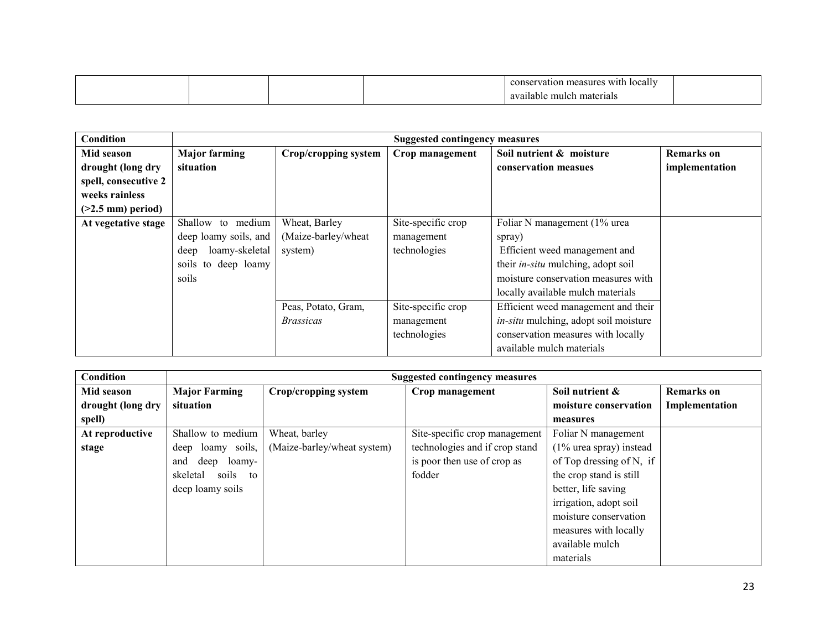|  |  | $\sim$ $\sim$ $\sim$<br>cally<br>WIth.<br>measures<br>valion. |  |
|--|--|---------------------------------------------------------------|--|
|  |  | mu<br>materials<br>.io b<br>тарк<br>.                         |  |

| Condition            |                        |                      | <b>Suggested contingency measures</b> |                                              |                   |
|----------------------|------------------------|----------------------|---------------------------------------|----------------------------------------------|-------------------|
| Mid season           | <b>Major farming</b>   | Crop/cropping system | Crop management                       | Soil nutrient & moisture                     | <b>Remarks</b> on |
| drought (long dry    | situation              |                      |                                       | conservation measues                         | implementation    |
| spell, consecutive 2 |                        |                      |                                       |                                              |                   |
| weeks rainless       |                        |                      |                                       |                                              |                   |
| $(>2.5$ mm) period)  |                        |                      |                                       |                                              |                   |
| At vegetative stage  | Shallow to medium      | Wheat, Barley        | Site-specific crop                    | Foliar N management (1% urea                 |                   |
|                      | deep loamy soils, and  | (Maize-barley/wheat  | management                            | spray)                                       |                   |
|                      | loamy-skeletal<br>deep | system)              | technologies                          | Efficient weed management and                |                   |
|                      | soils to deep loamy    |                      |                                       | their <i>in-situ</i> mulching, adopt soil    |                   |
|                      | soils                  |                      |                                       | moisture conservation measures with          |                   |
|                      |                        |                      |                                       | locally available mulch materials            |                   |
|                      |                        | Peas, Potato, Gram,  | Site-specific crop                    | Efficient weed management and their          |                   |
|                      |                        | <i>Brassicas</i>     | management                            | <i>in-situ</i> mulching, adopt soil moisture |                   |
|                      |                        |                      | technologies                          | conservation measures with locally           |                   |
|                      |                        |                      |                                       | available mulch materials                    |                   |

| Condition         |                         |                             | <b>Suggested contingency measures</b> |                            |                   |
|-------------------|-------------------------|-----------------------------|---------------------------------------|----------------------------|-------------------|
| Mid season        | <b>Major Farming</b>    | Crop/cropping system        | Crop management                       | Soil nutrient &            | <b>Remarks</b> on |
| drought (long dry | situation               |                             |                                       | moisture conservation      | Implementation    |
| spell)            |                         |                             |                                       | measures                   |                   |
| At reproductive   | Shallow to medium       | Wheat, barley               | Site-specific crop management         | Foliar N management        |                   |
| stage             | deep loamy soils,       | (Maize-barley/wheat system) | technologies and if crop stand        | $(1\%$ urea spray) instead |                   |
|                   | deep<br>loamy-<br>and   |                             | is poor then use of crop as           | of Top dressing of N, if   |                   |
|                   | soils<br>skeletal<br>to |                             | fodder                                | the crop stand is still    |                   |
|                   | deep loamy soils        |                             |                                       | better, life saving        |                   |
|                   |                         |                             |                                       | irrigation, adopt soil     |                   |
|                   |                         |                             |                                       | moisture conservation      |                   |
|                   |                         |                             |                                       | measures with locally      |                   |
|                   |                         |                             |                                       | available mulch            |                   |
|                   |                         |                             |                                       | materials                  |                   |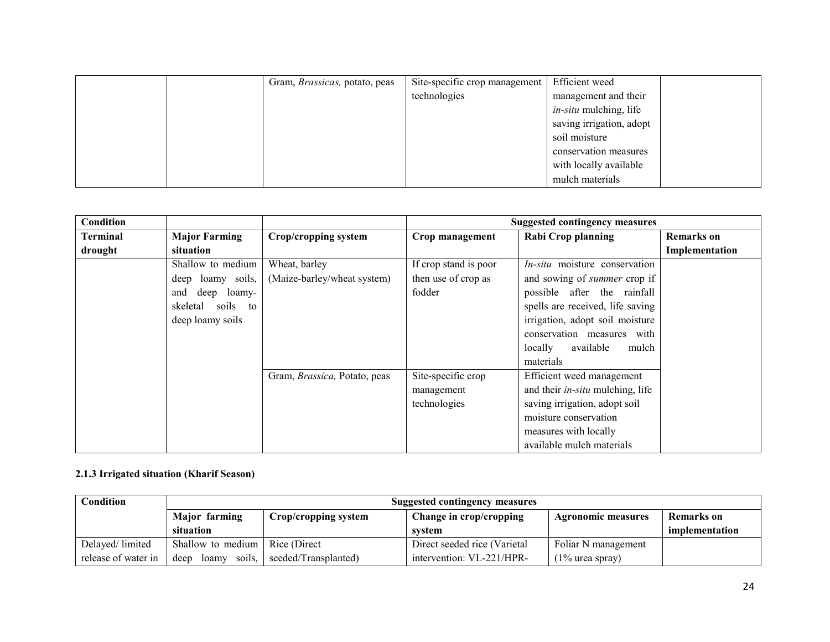|  | Gram, <i>Brassicas</i> , potato, peas | Site-specific crop management | Efficient weed                |  |
|--|---------------------------------------|-------------------------------|-------------------------------|--|
|  |                                       | technologies                  | management and their          |  |
|  |                                       |                               | <i>in-situ</i> mulching, life |  |
|  |                                       |                               | saving irrigation, adopt      |  |
|  |                                       |                               | soil moisture                 |  |
|  |                                       |                               | conservation measures         |  |
|  |                                       |                               | with locally available        |  |
|  |                                       |                               | mulch materials               |  |

| Condition |                       |                              |                       | Suggested contingency measures          |                   |
|-----------|-----------------------|------------------------------|-----------------------|-----------------------------------------|-------------------|
| Terminal  | <b>Major Farming</b>  | <b>Crop/cropping system</b>  | Crop management       | <b>Rabi Crop planning</b>               | <b>Remarks</b> on |
| drought   | situation             |                              |                       |                                         | Implementation    |
|           | Shallow to medium     | Wheat, barley                | If crop stand is poor | <i>In-situ</i> moisture conservation    |                   |
|           | deep loamy soils,     | (Maize-barley/wheat system)  | then use of crop as   | and sowing of <i>summer</i> crop if     |                   |
|           | deep<br>and<br>loamy- |                              | fodder                | possible after the rainfall             |                   |
|           | skeletal soils to     |                              |                       | spells are received, life saving        |                   |
|           | deep loamy soils      |                              |                       | irrigation, adopt soil moisture         |                   |
|           |                       |                              |                       | conservation measures with              |                   |
|           |                       |                              |                       | locally<br>available<br>mulch           |                   |
|           |                       |                              |                       | materials                               |                   |
|           |                       | Gram, Brassica, Potato, peas | Site-specific crop    | Efficient weed management               |                   |
|           |                       |                              | management            | and their <i>in-situ</i> mulching, life |                   |
|           |                       |                              | technologies          | saving irrigation, adopt soil           |                   |
|           |                       |                              |                       | moisture conservation                   |                   |
|           |                       |                              |                       | measures with locally                   |                   |
|           |                       |                              |                       | available mulch materials               |                   |

## 2.1.3 Irrigated situation (Kharif Season)

| <b>Condition</b>    | <b>Suggested contingency measures</b> |                      |                              |                           |                |  |
|---------------------|---------------------------------------|----------------------|------------------------------|---------------------------|----------------|--|
|                     | Major farming                         | Crop/cropping system | Change in crop/cropping      | <b>Agronomic measures</b> | Remarks on     |  |
|                     | situation                             |                      | system                       |                           | implementation |  |
| Delayed/limited     | Shallow to medium                     | Rice (Direct)        | Direct seeded rice (Varietal | Foliar N management       |                |  |
| release of water in | soils.<br>deep<br>loamy               | seeded/Transplanted) | intervention: VL-221/HPR-    | $(1\%$ urea spray)        |                |  |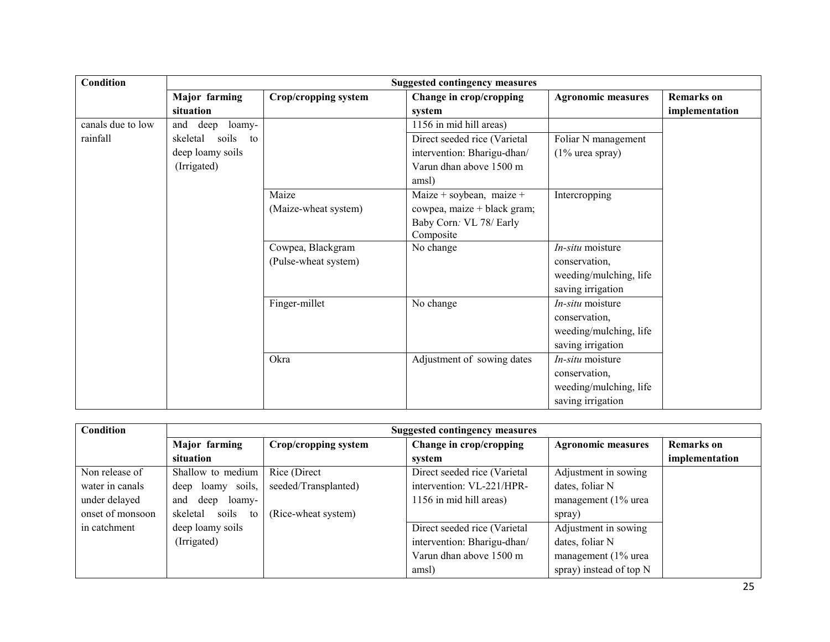| Condition         | <b>Suggested contingency measures</b> |                      |                              |                           |                   |  |
|-------------------|---------------------------------------|----------------------|------------------------------|---------------------------|-------------------|--|
|                   | Major farming                         | Crop/cropping system | Change in crop/cropping      | <b>Agronomic measures</b> | <b>Remarks</b> on |  |
|                   | situation                             |                      | system                       |                           | implementation    |  |
| canals due to low | and<br>deep<br>loamy-                 |                      | 1156 in mid hill areas)      |                           |                   |  |
| rainfall          | soils<br>skeletal<br>to               |                      | Direct seeded rice (Varietal | Foliar N management       |                   |  |
|                   | deep loamy soils                      |                      | intervention: Bharigu-dhan/  | $(1\%$ urea spray)        |                   |  |
|                   | (Irrigated)                           |                      | Varun dhan above 1500 m      |                           |                   |  |
|                   |                                       |                      | amsl)                        |                           |                   |  |
|                   |                                       | Maize                | Maize + soybean, maize +     | Intercropping             |                   |  |
|                   |                                       | (Maize-wheat system) | cowpea, maize + black gram;  |                           |                   |  |
|                   |                                       |                      | Baby Corn: VL 78/ Early      |                           |                   |  |
|                   |                                       |                      | Composite                    |                           |                   |  |
|                   |                                       | Cowpea, Blackgram    | No change                    | $In-situ$ moisture        |                   |  |
|                   |                                       | (Pulse-wheat system) |                              | conservation.             |                   |  |
|                   |                                       |                      |                              | weeding/mulching, life    |                   |  |
|                   |                                       |                      |                              | saving irrigation         |                   |  |
|                   |                                       | Finger-millet        | No change                    | In-situ moisture          |                   |  |
|                   |                                       |                      |                              | conservation,             |                   |  |
|                   |                                       |                      |                              | weeding/mulching, life    |                   |  |
|                   |                                       |                      |                              | saving irrigation         |                   |  |
|                   |                                       | Okra                 | Adjustment of sowing dates   | In-situ moisture          |                   |  |
|                   |                                       |                      |                              | conservation.             |                   |  |
|                   |                                       |                      |                              | weeding/mulching, life    |                   |  |
|                   |                                       |                      |                              | saving irrigation         |                   |  |

| Condition        | <b>Suggested contingency measures</b> |                      |                              |                           |                   |  |
|------------------|---------------------------------------|----------------------|------------------------------|---------------------------|-------------------|--|
|                  | Major farming                         | Crop/cropping system | Change in crop/cropping      | <b>Agronomic measures</b> | <b>Remarks</b> on |  |
|                  | situation                             |                      | system                       |                           | implementation    |  |
| Non release of   | Shallow to medium                     | Rice (Direct)        | Direct seeded rice (Varietal | Adjustment in sowing      |                   |  |
| water in canals  | deep loamy soils,                     | seeded/Transplanted) | intervention: VL-221/HPR-    | dates, foliar N           |                   |  |
| under delayed    | deep<br>loamy-<br>and                 |                      | 1156 in mid hill areas)      | management (1% urea       |                   |  |
| onset of monsoon | soils<br>skeletal<br>to               | (Rice-wheat system)  |                              | spray)                    |                   |  |
| in catchment     | deep loamy soils                      |                      | Direct seeded rice (Varietal | Adjustment in sowing      |                   |  |
|                  | (Irrigated)                           |                      | intervention: Bharigu-dhan/  | dates, foliar N           |                   |  |
|                  |                                       |                      | Varun dhan above 1500 m      | management (1% urea       |                   |  |
|                  |                                       |                      | amsl)                        | spray) instead of top N   |                   |  |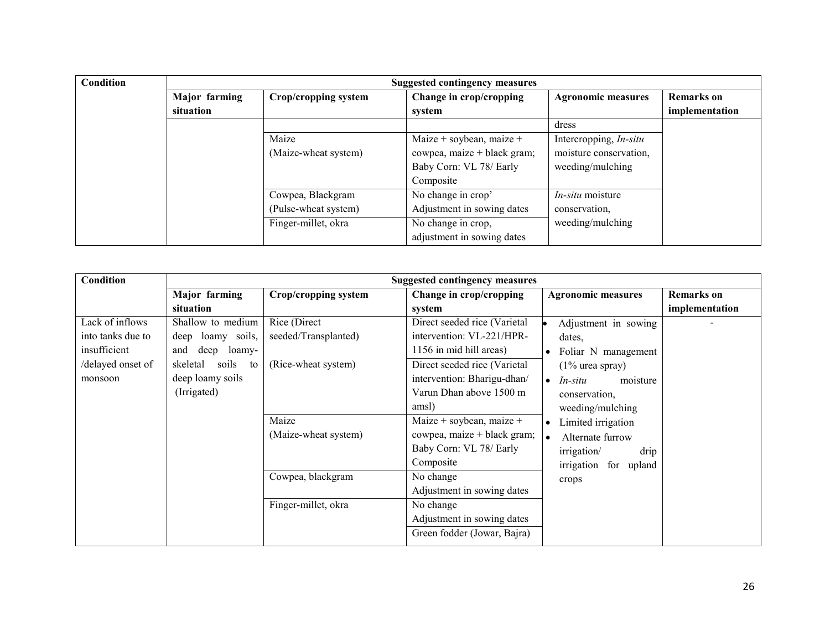| Condition | <b>Suggested contingency measures</b> |                      |                             |                               |                   |  |
|-----------|---------------------------------------|----------------------|-----------------------------|-------------------------------|-------------------|--|
|           | Major farming                         | Crop/cropping system | Change in crop/cropping     | <b>Agronomic measures</b>     | <b>Remarks</b> on |  |
|           | situation                             |                      | system                      |                               | implementation    |  |
|           |                                       |                      |                             | dress                         |                   |  |
|           |                                       | Maize                | Maize + soybean, maize +    | Intercropping, <i>In-situ</i> |                   |  |
|           |                                       | (Maize-wheat system) | cowpea, maize + black gram; | moisture conservation,        |                   |  |
|           |                                       |                      | Baby Corn: VL 78/ Early     | weeding/mulching              |                   |  |
|           |                                       |                      | Composite                   |                               |                   |  |
|           |                                       | Cowpea, Blackgram    | No change in crop'          | <i>In-situ</i> moisture       |                   |  |
|           |                                       | (Pulse-wheat system) | Adjustment in sowing dates  | conservation.                 |                   |  |
|           |                                       | Finger-millet, okra  | No change in crop,          | weeding/mulching              |                   |  |
|           |                                       |                      | adjustment in sowing dates  |                               |                   |  |

| Condition                                                                           | <b>Suggested contingency measures</b>                                                                          |                                                             |                                                                                                                                                     |                                                                                                                                          |                   |
|-------------------------------------------------------------------------------------|----------------------------------------------------------------------------------------------------------------|-------------------------------------------------------------|-----------------------------------------------------------------------------------------------------------------------------------------------------|------------------------------------------------------------------------------------------------------------------------------------------|-------------------|
|                                                                                     | Major farming                                                                                                  | Crop/cropping system                                        | Change in crop/cropping                                                                                                                             | <b>Agronomic measures</b>                                                                                                                | <b>Remarks</b> on |
|                                                                                     | situation                                                                                                      |                                                             | system                                                                                                                                              |                                                                                                                                          | implementation    |
| Lack of inflows<br>into tanks due to<br>insufficient<br>delayed onset of<br>monsoon | Shallow to medium<br>deep loamy soils,<br>and<br>deep<br>loamy-<br>soils<br>skeletal<br>to<br>deep loamy soils | Rice (Direct<br>seeded/Transplanted)<br>(Rice-wheat system) | Direct seeded rice (Varietal<br>intervention: VL-221/HPR-<br>1156 in mid hill areas)<br>Direct seeded rice (Varietal<br>intervention: Bharigu-dhan/ | Adjustment in sowing<br>dates.<br>Foliar N management<br>$\bullet$<br>$(1\%$ urea spray)<br>In-situ<br>$\bullet$<br>moisture             |                   |
|                                                                                     | (Irrigated)                                                                                                    | Maize<br>(Maize-wheat system)                               | Varun Dhan above 1500 m<br>amsl)<br>Maize + soybean, maize +<br>cowpea, maize + black gram;<br>Baby Corn: VL 78/ Early<br>Composite                 | conservation.<br>weeding/mulching<br>Limited irrigation<br>$\bullet$<br>Alternate furrow<br>irrigation/<br>drip<br>irrigation for upland |                   |
|                                                                                     |                                                                                                                | Cowpea, blackgram                                           | No change<br>Adjustment in sowing dates                                                                                                             | crops                                                                                                                                    |                   |
|                                                                                     |                                                                                                                | Finger-millet, okra                                         | No change<br>Adjustment in sowing dates<br>Green fodder (Jowar, Bajra)                                                                              |                                                                                                                                          |                   |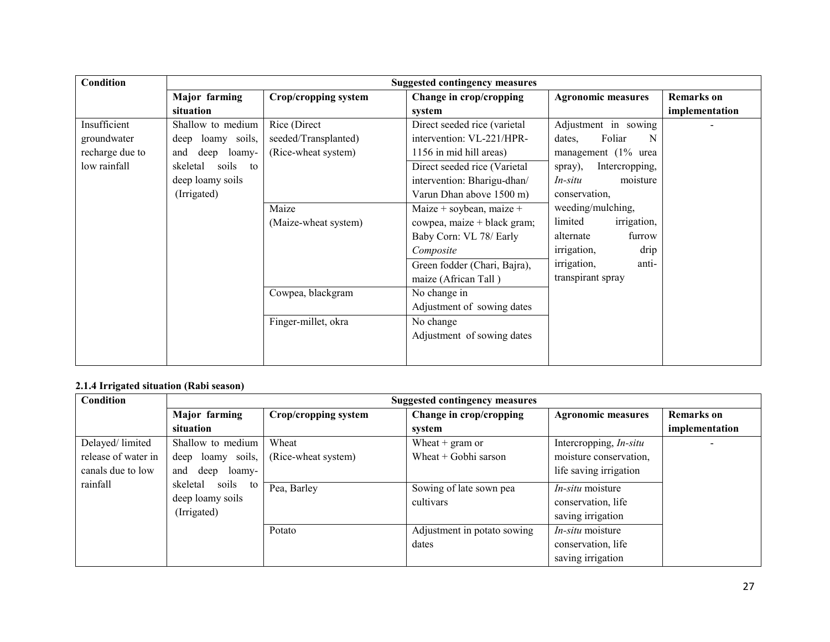| Condition       | <b>Suggested contingency measures</b> |                      |                              |                           |                   |
|-----------------|---------------------------------------|----------------------|------------------------------|---------------------------|-------------------|
|                 | <b>Major</b> farming                  | Crop/cropping system | Change in crop/cropping      | <b>Agronomic measures</b> | <b>Remarks</b> on |
|                 | situation                             |                      | system                       |                           | implementation    |
| Insufficient    | Shallow to medium                     | Rice (Direct         | Direct seeded rice (varietal | Adjustment in sowing      |                   |
| groundwater     | deep loamy soils,                     | seeded/Transplanted) | intervention: VL-221/HPR-    | Foliar<br>N<br>dates,     |                   |
| recharge due to | deep<br>loamy-<br>and                 | (Rice-wheat system)  | 1156 in mid hill areas)      | management $(1\%$ urea    |                   |
| low rainfall    | soils<br>skeletal<br>to               |                      | Direct seeded rice (Varietal | Intercropping,<br>spray), |                   |
|                 | deep loamy soils                      |                      | intervention: Bharigu-dhan/  | In-situ<br>moisture       |                   |
|                 | (Irrigated)                           |                      | Varun Dhan above 1500 m)     | conservation,             |                   |
|                 |                                       | Maize                | Maize + soybean, maize +     | weeding/mulching,         |                   |
|                 |                                       | (Maize-wheat system) | cowpea, maize + black gram;  | limited<br>irrigation,    |                   |
|                 |                                       |                      | Baby Corn: VL 78/ Early      | alternate<br>furrow       |                   |
|                 |                                       |                      | Composite                    | irrigation,<br>drip       |                   |
|                 |                                       |                      | Green fodder (Chari, Bajra), | irrigation,<br>anti-      |                   |
|                 |                                       |                      | maize (African Tall)         | transpirant spray         |                   |
|                 |                                       | Cowpea, blackgram    | No change in                 |                           |                   |
|                 |                                       |                      | Adjustment of sowing dates   |                           |                   |
|                 |                                       | Finger-millet, okra  | No change                    |                           |                   |
|                 |                                       |                      | Adjustment of sowing dates   |                           |                   |
|                 |                                       |                      |                              |                           |                   |
|                 |                                       |                      |                              |                           |                   |

## 2.1.4 Irrigated situation (Rabi season)

| Condition           | <b>Suggested contingency measures</b>       |                      |                             |                               |                   |
|---------------------|---------------------------------------------|----------------------|-----------------------------|-------------------------------|-------------------|
|                     | Major farming                               | Crop/cropping system | Change in crop/cropping     | <b>Agronomic measures</b>     | <b>Remarks</b> on |
|                     | situation                                   |                      | system                      |                               | implementation    |
| Delayed/limited     | Shallow to medium                           | Wheat                | Wheat $+$ gram or           | Intercropping, <i>In-situ</i> |                   |
| release of water in | deep loamy soils,                           | (Rice-wheat system)  | Wheat $+$ Gobhi sarson      | moisture conservation,        |                   |
| canals due to low   | deep<br>and<br>loamy-                       |                      |                             | life saving irrigation        |                   |
| rainfall            | soils<br>skeletal<br>to<br>deep loamy soils | Pea, Barley          | Sowing of late sown pea     | <i>In-situ</i> moisture       |                   |
|                     |                                             |                      | cultivars                   | conservation, life            |                   |
| (Irrigated)         |                                             |                      | saving irrigation           |                               |                   |
|                     |                                             | Potato               | Adjustment in potato sowing | <i>In-situ</i> moisture       |                   |
|                     |                                             |                      | dates                       | conservation, life            |                   |
|                     |                                             |                      |                             | saving irrigation             |                   |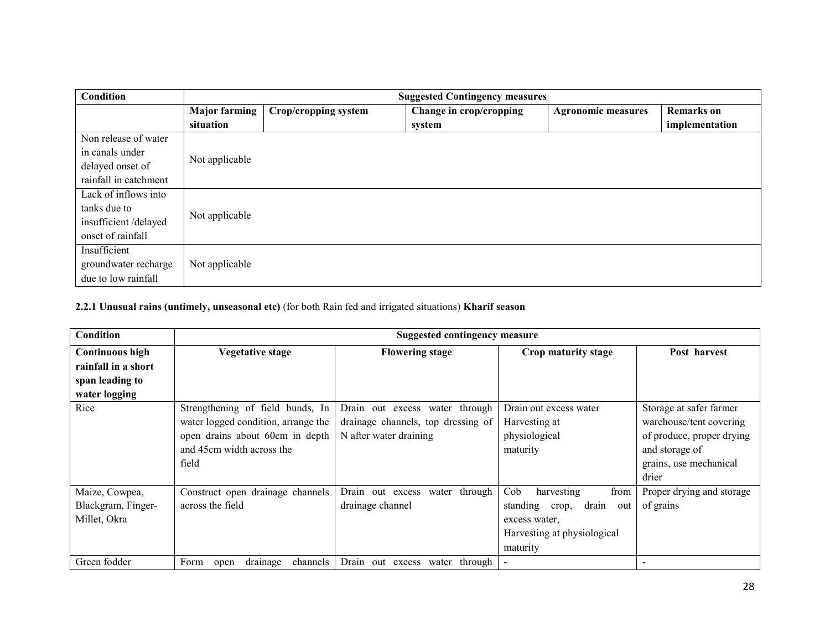| <b>Condition</b>      | <b>Suggested Contingency measures</b> |                      |                         |                           |                   |
|-----------------------|---------------------------------------|----------------------|-------------------------|---------------------------|-------------------|
|                       | <b>Major farming</b>                  | Crop/cropping system | Change in crop/cropping | <b>Agronomic measures</b> | <b>Remarks</b> on |
|                       | situation                             |                      | system                  |                           | implementation    |
| Non release of water  |                                       |                      |                         |                           |                   |
| in canals under       | Not applicable                        |                      |                         |                           |                   |
| delayed onset of      |                                       |                      |                         |                           |                   |
| rainfall in catchment |                                       |                      |                         |                           |                   |
| Lack of inflows into  |                                       |                      |                         |                           |                   |
| tanks due to          | Not applicable                        |                      |                         |                           |                   |
| insufficient/delayed  |                                       |                      |                         |                           |                   |
| onset of rainfall     |                                       |                      |                         |                           |                   |
| Insufficient          |                                       |                      |                         |                           |                   |
| groundwater recharge  | Not applicable                        |                      |                         |                           |                   |
| due to low rainfall   |                                       |                      |                         |                           |                   |

# 2.2.1 Unusual rains (untimely, unseasonal etc) (for both Rain fed and irrigated situations) Kharif season

| Condition                                            | <b>Suggested contingency measure</b>                                                                                                             |                                                                                                |                                                                                                                            |                                                                                                                                      |  |
|------------------------------------------------------|--------------------------------------------------------------------------------------------------------------------------------------------------|------------------------------------------------------------------------------------------------|----------------------------------------------------------------------------------------------------------------------------|--------------------------------------------------------------------------------------------------------------------------------------|--|
| <b>Continuous high</b>                               | <b>Vegetative stage</b>                                                                                                                          | <b>Flowering stage</b>                                                                         | Crop maturity stage                                                                                                        | Post harvest                                                                                                                         |  |
| rainfall in a short                                  |                                                                                                                                                  |                                                                                                |                                                                                                                            |                                                                                                                                      |  |
| span leading to                                      |                                                                                                                                                  |                                                                                                |                                                                                                                            |                                                                                                                                      |  |
| water logging                                        |                                                                                                                                                  |                                                                                                |                                                                                                                            |                                                                                                                                      |  |
| Rice                                                 | Strengthening of field bunds, In<br>water logged condition, arrange the<br>open drains about 60cm in depth<br>and 45cm width across the<br>field | Drain out excess water through<br>drainage channels, top dressing of<br>N after water draining | Drain out excess water<br>Harvesting at<br>physiological<br>maturity                                                       | Storage at safer farmer<br>warehouse/tent covering<br>of produce, proper drying<br>and storage of<br>grains, use mechanical<br>drier |  |
| Maize, Cowpea,<br>Blackgram, Finger-<br>Millet, Okra | Construct open drainage channels<br>across the field                                                                                             | water through<br>Drain out excess<br>drainage channel                                          | Cob<br>harvesting<br>from<br>standing<br>drain<br>crop,<br>out<br>excess water,<br>Harvesting at physiological<br>maturity | Proper drying and storage<br>of grains                                                                                               |  |
| Green fodder                                         | drainage<br>Form<br>channels<br>open                                                                                                             | Drain out excess water through                                                                 | $\blacksquare$                                                                                                             |                                                                                                                                      |  |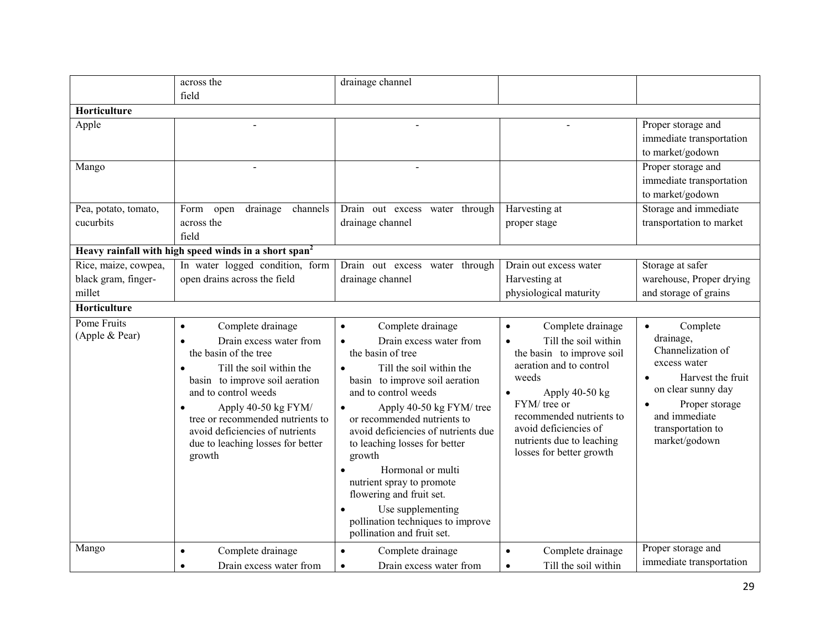|                               | across the                                                                                                                                                                                                                                                                                                            | drainage channel                                                                                                                                                                                                                                                                                                                                                                                                                                                                                     |                                                                                                                                                                                                                                                                                      |                                                                                                                                                                                             |
|-------------------------------|-----------------------------------------------------------------------------------------------------------------------------------------------------------------------------------------------------------------------------------------------------------------------------------------------------------------------|------------------------------------------------------------------------------------------------------------------------------------------------------------------------------------------------------------------------------------------------------------------------------------------------------------------------------------------------------------------------------------------------------------------------------------------------------------------------------------------------------|--------------------------------------------------------------------------------------------------------------------------------------------------------------------------------------------------------------------------------------------------------------------------------------|---------------------------------------------------------------------------------------------------------------------------------------------------------------------------------------------|
|                               | field                                                                                                                                                                                                                                                                                                                 |                                                                                                                                                                                                                                                                                                                                                                                                                                                                                                      |                                                                                                                                                                                                                                                                                      |                                                                                                                                                                                             |
| Horticulture                  |                                                                                                                                                                                                                                                                                                                       |                                                                                                                                                                                                                                                                                                                                                                                                                                                                                                      |                                                                                                                                                                                                                                                                                      |                                                                                                                                                                                             |
| Apple                         |                                                                                                                                                                                                                                                                                                                       |                                                                                                                                                                                                                                                                                                                                                                                                                                                                                                      |                                                                                                                                                                                                                                                                                      | Proper storage and                                                                                                                                                                          |
|                               |                                                                                                                                                                                                                                                                                                                       |                                                                                                                                                                                                                                                                                                                                                                                                                                                                                                      |                                                                                                                                                                                                                                                                                      | immediate transportation                                                                                                                                                                    |
|                               |                                                                                                                                                                                                                                                                                                                       |                                                                                                                                                                                                                                                                                                                                                                                                                                                                                                      |                                                                                                                                                                                                                                                                                      | to market/godown                                                                                                                                                                            |
| Mango                         |                                                                                                                                                                                                                                                                                                                       |                                                                                                                                                                                                                                                                                                                                                                                                                                                                                                      |                                                                                                                                                                                                                                                                                      | Proper storage and                                                                                                                                                                          |
|                               |                                                                                                                                                                                                                                                                                                                       |                                                                                                                                                                                                                                                                                                                                                                                                                                                                                                      |                                                                                                                                                                                                                                                                                      | immediate transportation                                                                                                                                                                    |
|                               |                                                                                                                                                                                                                                                                                                                       |                                                                                                                                                                                                                                                                                                                                                                                                                                                                                                      |                                                                                                                                                                                                                                                                                      | to market/godown                                                                                                                                                                            |
| Pea, potato, tomato,          | drainage<br>channels<br>Form<br>open                                                                                                                                                                                                                                                                                  | Drain out excess water through                                                                                                                                                                                                                                                                                                                                                                                                                                                                       | Harvesting at                                                                                                                                                                                                                                                                        | Storage and immediate                                                                                                                                                                       |
| cucurbits                     | across the                                                                                                                                                                                                                                                                                                            | drainage channel                                                                                                                                                                                                                                                                                                                                                                                                                                                                                     | proper stage                                                                                                                                                                                                                                                                         | transportation to market                                                                                                                                                                    |
|                               | field                                                                                                                                                                                                                                                                                                                 |                                                                                                                                                                                                                                                                                                                                                                                                                                                                                                      |                                                                                                                                                                                                                                                                                      |                                                                                                                                                                                             |
|                               | Heavy rainfall with high speed winds in a short span <sup>2</sup>                                                                                                                                                                                                                                                     |                                                                                                                                                                                                                                                                                                                                                                                                                                                                                                      |                                                                                                                                                                                                                                                                                      |                                                                                                                                                                                             |
| Rice, maize, cowpea,          | In water logged condition, form                                                                                                                                                                                                                                                                                       | Drain out excess water through                                                                                                                                                                                                                                                                                                                                                                                                                                                                       | Drain out excess water                                                                                                                                                                                                                                                               | Storage at safer                                                                                                                                                                            |
| black gram, finger-           | open drains across the field                                                                                                                                                                                                                                                                                          | drainage channel                                                                                                                                                                                                                                                                                                                                                                                                                                                                                     | Harvesting at                                                                                                                                                                                                                                                                        | warehouse, Proper drying                                                                                                                                                                    |
| millet                        |                                                                                                                                                                                                                                                                                                                       |                                                                                                                                                                                                                                                                                                                                                                                                                                                                                                      | physiological maturity                                                                                                                                                                                                                                                               | and storage of grains                                                                                                                                                                       |
| Horticulture                  |                                                                                                                                                                                                                                                                                                                       |                                                                                                                                                                                                                                                                                                                                                                                                                                                                                                      |                                                                                                                                                                                                                                                                                      |                                                                                                                                                                                             |
| Pome Fruits<br>(Apple & Pear) | Complete drainage<br>$\bullet$<br>Drain excess water from<br>the basin of the tree<br>Till the soil within the<br>basin to improve soil aeration<br>and to control weeds<br>Apply 40-50 kg FYM/<br>tree or recommended nutrients to<br>avoid deficiencies of nutrients<br>due to leaching losses for better<br>growth | Complete drainage<br>$\bullet$<br>Drain excess water from<br>$\bullet$<br>the basin of tree<br>Till the soil within the<br>basin to improve soil aeration<br>and to control weeds<br>Apply 40-50 kg FYM/ tree<br>or recommended nutrients to<br>avoid deficiencies of nutrients due<br>to leaching losses for better<br>growth<br>Hormonal or multi<br>nutrient spray to promote<br>flowering and fruit set.<br>Use supplementing<br>pollination techniques to improve<br>pollination and fruit set. | Complete drainage<br>$\bullet$<br>Till the soil within<br>$\bullet$<br>the basin to improve soil<br>aeration and to control<br>weeds<br>Apply 40-50 kg<br>FYM/ tree or<br>recommended nutrients to<br>avoid deficiencies of<br>nutrients due to leaching<br>losses for better growth | Complete<br>$\bullet$<br>drainage,<br>Channelization of<br>excess water<br>Harvest the fruit<br>on clear sunny day<br>Proper storage<br>and immediate<br>transportation to<br>market/godown |
| Mango                         | Complete drainage<br>$\bullet$                                                                                                                                                                                                                                                                                        | Complete drainage<br>$\bullet$                                                                                                                                                                                                                                                                                                                                                                                                                                                                       | Complete drainage<br>$\bullet$                                                                                                                                                                                                                                                       | Proper storage and                                                                                                                                                                          |
|                               | Drain excess water from<br>$\bullet$                                                                                                                                                                                                                                                                                  | Drain excess water from<br>$\bullet$                                                                                                                                                                                                                                                                                                                                                                                                                                                                 | Till the soil within<br>$\bullet$                                                                                                                                                                                                                                                    | immediate transportation                                                                                                                                                                    |
|                               |                                                                                                                                                                                                                                                                                                                       |                                                                                                                                                                                                                                                                                                                                                                                                                                                                                                      |                                                                                                                                                                                                                                                                                      |                                                                                                                                                                                             |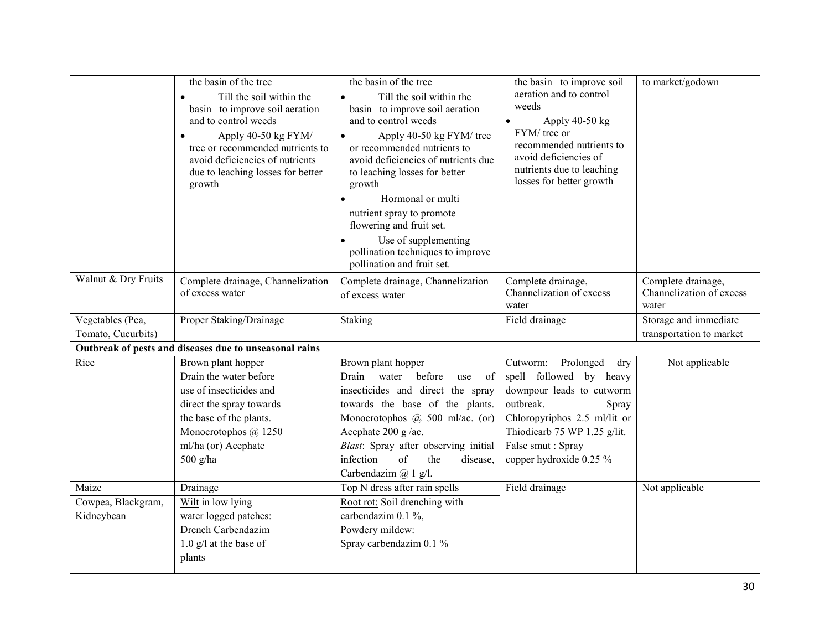|                     | the basin of the tree<br>Till the soil within the<br>basin to improve soil aeration<br>and to control weeds<br>Apply 40-50 kg FYM/<br>tree or recommended nutrients to<br>avoid deficiencies of nutrients<br>due to leaching losses for better<br>growth | the basin of the tree<br>Till the soil within the<br>$\bullet$<br>basin to improve soil aeration<br>and to control weeds<br>Apply 40-50 kg FYM/ tree<br>$\bullet$<br>or recommended nutrients to<br>avoid deficiencies of nutrients due<br>to leaching losses for better<br>growth<br>Hormonal or multi<br>$\bullet$<br>nutrient spray to promote<br>flowering and fruit set.<br>Use of supplementing<br>pollination techniques to improve<br>pollination and fruit set. | the basin to improve soil<br>aeration and to control<br>weeds<br>Apply 40-50 kg<br>FYM/ tree or<br>recommended nutrients to<br>avoid deficiencies of<br>nutrients due to leaching<br>losses for better growth | to market/godown                                        |
|---------------------|----------------------------------------------------------------------------------------------------------------------------------------------------------------------------------------------------------------------------------------------------------|--------------------------------------------------------------------------------------------------------------------------------------------------------------------------------------------------------------------------------------------------------------------------------------------------------------------------------------------------------------------------------------------------------------------------------------------------------------------------|---------------------------------------------------------------------------------------------------------------------------------------------------------------------------------------------------------------|---------------------------------------------------------|
| Walnut & Dry Fruits | Complete drainage, Channelization<br>of excess water                                                                                                                                                                                                     | Complete drainage, Channelization<br>of excess water                                                                                                                                                                                                                                                                                                                                                                                                                     | Complete drainage,<br>Channelization of excess<br>water                                                                                                                                                       | Complete drainage,<br>Channelization of excess<br>water |
| Vegetables (Pea,    | Proper Staking/Drainage                                                                                                                                                                                                                                  | Staking                                                                                                                                                                                                                                                                                                                                                                                                                                                                  | Field drainage                                                                                                                                                                                                | Storage and immediate                                   |
| Tomato, Cucurbits)  |                                                                                                                                                                                                                                                          |                                                                                                                                                                                                                                                                                                                                                                                                                                                                          |                                                                                                                                                                                                               | transportation to market                                |
|                     | Outbreak of pests and diseases due to unseasonal rains                                                                                                                                                                                                   |                                                                                                                                                                                                                                                                                                                                                                                                                                                                          |                                                                                                                                                                                                               |                                                         |
| Rice                | Brown plant hopper                                                                                                                                                                                                                                       | Brown plant hopper                                                                                                                                                                                                                                                                                                                                                                                                                                                       | Cutworm: Prolonged<br>dry                                                                                                                                                                                     | Not applicable                                          |
|                     | Drain the water before                                                                                                                                                                                                                                   | Drain water before<br>of<br>use                                                                                                                                                                                                                                                                                                                                                                                                                                          | spell followed by heavy                                                                                                                                                                                       |                                                         |
|                     | use of insecticides and                                                                                                                                                                                                                                  | insecticides and direct the spray                                                                                                                                                                                                                                                                                                                                                                                                                                        | downpour leads to cutworm                                                                                                                                                                                     |                                                         |
|                     | direct the spray towards                                                                                                                                                                                                                                 | towards the base of the plants.                                                                                                                                                                                                                                                                                                                                                                                                                                          | outbreak.<br>Spray                                                                                                                                                                                            |                                                         |
|                     | the base of the plants.                                                                                                                                                                                                                                  | Monocrotophos @ 500 ml/ac. (or)                                                                                                                                                                                                                                                                                                                                                                                                                                          | Chloropyriphos 2.5 ml/lit or                                                                                                                                                                                  |                                                         |
|                     | Monocrotophos @ 1250                                                                                                                                                                                                                                     | Acephate 200 g/ac.                                                                                                                                                                                                                                                                                                                                                                                                                                                       | Thiodicarb 75 WP 1.25 g/lit.                                                                                                                                                                                  |                                                         |
|                     | ml/ha (or) Acephate                                                                                                                                                                                                                                      | Blast: Spray after observing initial                                                                                                                                                                                                                                                                                                                                                                                                                                     | False smut: Spray                                                                                                                                                                                             |                                                         |
|                     | 500 g/ha                                                                                                                                                                                                                                                 | infection<br>of<br>the<br>disease,                                                                                                                                                                                                                                                                                                                                                                                                                                       | copper hydroxide 0.25 %                                                                                                                                                                                       |                                                         |
|                     |                                                                                                                                                                                                                                                          | Carbendazim @ 1 g/l.                                                                                                                                                                                                                                                                                                                                                                                                                                                     |                                                                                                                                                                                                               |                                                         |
| Maize               | Drainage                                                                                                                                                                                                                                                 | Top N dress after rain spells                                                                                                                                                                                                                                                                                                                                                                                                                                            | Field drainage                                                                                                                                                                                                | Not applicable                                          |
| Cowpea, Blackgram,  | Wilt in low lying                                                                                                                                                                                                                                        | Root rot: Soil drenching with                                                                                                                                                                                                                                                                                                                                                                                                                                            |                                                                                                                                                                                                               |                                                         |
| Kidneybean          | water logged patches:                                                                                                                                                                                                                                    | carbendazim 0.1 %,                                                                                                                                                                                                                                                                                                                                                                                                                                                       |                                                                                                                                                                                                               |                                                         |
|                     | Drench Carbendazim                                                                                                                                                                                                                                       | Powdery mildew:                                                                                                                                                                                                                                                                                                                                                                                                                                                          |                                                                                                                                                                                                               |                                                         |
|                     | $1.0$ g/l at the base of                                                                                                                                                                                                                                 | Spray carbendazim 0.1 %                                                                                                                                                                                                                                                                                                                                                                                                                                                  |                                                                                                                                                                                                               |                                                         |
|                     | plants                                                                                                                                                                                                                                                   |                                                                                                                                                                                                                                                                                                                                                                                                                                                                          |                                                                                                                                                                                                               |                                                         |
|                     |                                                                                                                                                                                                                                                          |                                                                                                                                                                                                                                                                                                                                                                                                                                                                          |                                                                                                                                                                                                               |                                                         |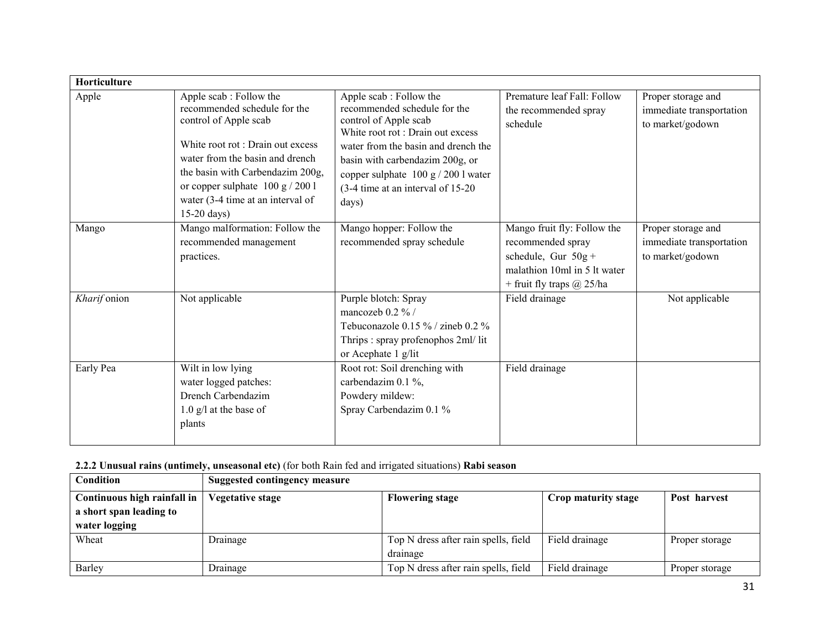| Horticulture |                                                                                                                                                                                                                                                                                         |                                                                                                                                                                                                                                                                                        |                                                                                                                                          |                                                                    |
|--------------|-----------------------------------------------------------------------------------------------------------------------------------------------------------------------------------------------------------------------------------------------------------------------------------------|----------------------------------------------------------------------------------------------------------------------------------------------------------------------------------------------------------------------------------------------------------------------------------------|------------------------------------------------------------------------------------------------------------------------------------------|--------------------------------------------------------------------|
| Apple        | Apple scab: Follow the<br>recommended schedule for the<br>control of Apple scab<br>White root rot : Drain out excess<br>water from the basin and drench<br>the basin with Carbendazim 200g,<br>or copper sulphate $100 g / 200 l$<br>water (3-4 time at an interval of<br>$15-20$ days) | Apple scab: Follow the<br>recommended schedule for the<br>control of Apple scab<br>White root rot : Drain out excess<br>water from the basin and drench the<br>basin with carbendazim 200g, or<br>copper sulphate $100 g / 200 l$ water<br>(3-4 time at an interval of 15-20)<br>days) | Premature leaf Fall: Follow<br>the recommended spray<br>schedule                                                                         | Proper storage and<br>immediate transportation<br>to market/godown |
| Mango        | Mango malformation: Follow the<br>recommended management<br>practices.                                                                                                                                                                                                                  | Mango hopper: Follow the<br>recommended spray schedule                                                                                                                                                                                                                                 | Mango fruit fly: Follow the<br>recommended spray<br>schedule, Gur $50g +$<br>malathion 10ml in 5 lt water<br>+ fruit fly traps $@$ 25/ha | Proper storage and<br>immediate transportation<br>to market/godown |
| Kharif onion | Not applicable                                                                                                                                                                                                                                                                          | Purple blotch: Spray<br>mancozeb $0.2 \%$ /<br>Tebuconazole 0.15 % / zineb 0.2 %<br>Thrips: spray profenophos 2ml/lit<br>or Acephate 1 g/lit                                                                                                                                           | Field drainage                                                                                                                           | Not applicable                                                     |
| Early Pea    | Wilt in low lying<br>water logged patches:<br>Drench Carbendazim<br>$1.0$ g/l at the base of<br>plants                                                                                                                                                                                  | Root rot: Soil drenching with<br>carbendazim 0.1 %,<br>Powdery mildew:<br>Spray Carbendazim 0.1 %                                                                                                                                                                                      | Field drainage                                                                                                                           |                                                                    |

# 2.2.2 Unusual rains (untimely, unseasonal etc) (for both Rain fed and irrigated situations) Rabi season

| Condition                   | Suggested contingency measure |                                      |                     |                |
|-----------------------------|-------------------------------|--------------------------------------|---------------------|----------------|
| Continuous high rainfall in | Vegetative stage              | <b>Flowering stage</b>               | Crop maturity stage | Post harvest   |
| a short span leading to     |                               |                                      |                     |                |
| water logging               |                               |                                      |                     |                |
| Wheat                       | Drainage                      | Top N dress after rain spells, field | Field drainage      | Proper storage |
|                             |                               | drainage                             |                     |                |
| Barley                      | Drainage                      | Top N dress after rain spells, field | Field drainage      | Proper storage |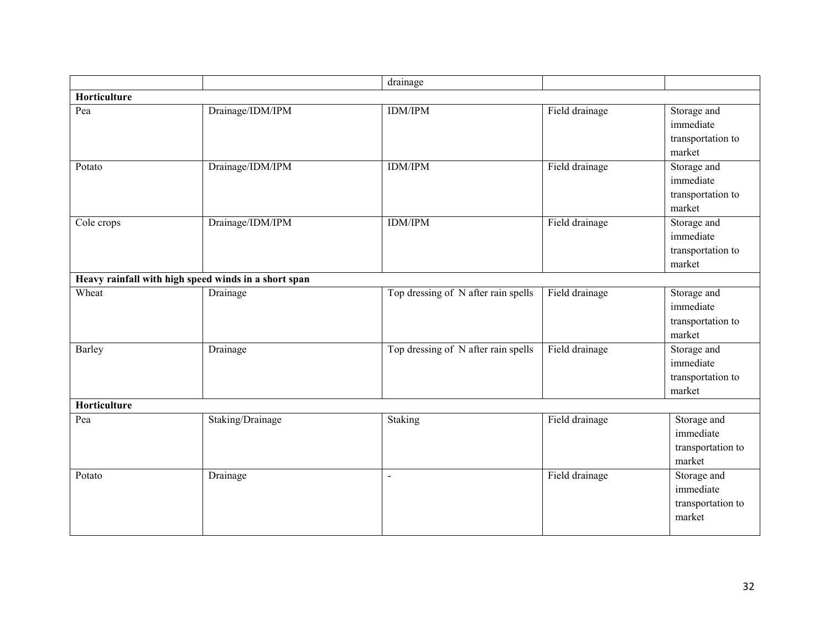|              |                                                      | drainage                            |                |                                                         |
|--------------|------------------------------------------------------|-------------------------------------|----------------|---------------------------------------------------------|
| Horticulture |                                                      |                                     |                |                                                         |
| Pea          | Drainage/IDM/IPM                                     | <b>IDM/IPM</b>                      | Field drainage | Storage and<br>immediate<br>transportation to<br>market |
| Potato       | Drainage/IDM/IPM                                     | <b>IDM/IPM</b>                      | Field drainage | Storage and<br>immediate<br>transportation to<br>market |
| Cole crops   | Drainage/IDM/IPM                                     | <b>IDM/IPM</b>                      | Field drainage | Storage and<br>immediate<br>transportation to<br>market |
|              | Heavy rainfall with high speed winds in a short span |                                     |                |                                                         |
| Wheat        | Drainage                                             | Top dressing of N after rain spells | Field drainage | Storage and<br>immediate<br>transportation to<br>market |
| Barley       | Drainage                                             | Top dressing of N after rain spells | Field drainage | Storage and<br>immediate<br>transportation to<br>market |
| Horticulture |                                                      |                                     |                |                                                         |
| Pea          | Staking/Drainage                                     | Staking                             | Field drainage | Storage and<br>immediate<br>transportation to<br>market |
| Potato       | Drainage                                             | $\mathbf{u}$                        | Field drainage | Storage and<br>immediate<br>transportation to<br>market |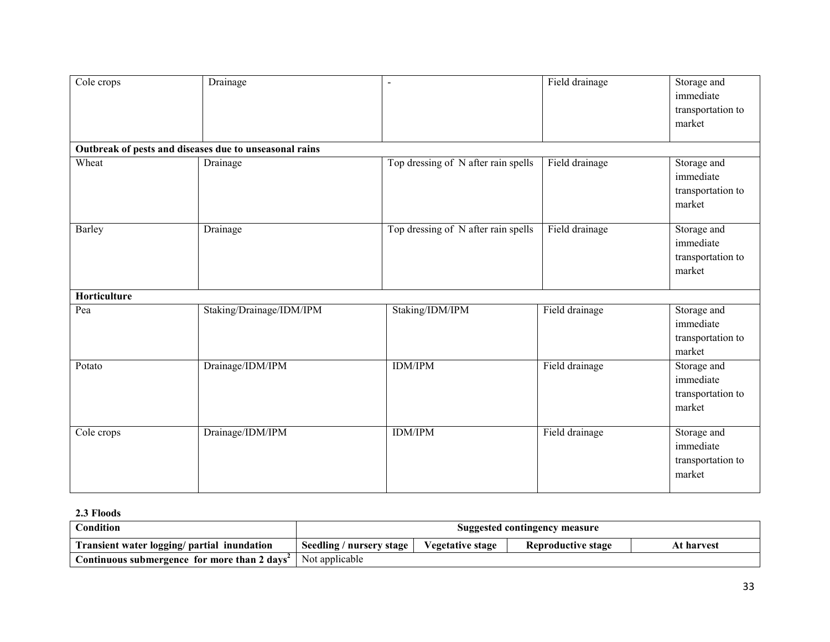| Cole crops   | Drainage                                               | $\overline{\phantom{a}}$            | Field drainage | Storage and<br>immediate<br>transportation to<br>market |
|--------------|--------------------------------------------------------|-------------------------------------|----------------|---------------------------------------------------------|
|              | Outbreak of pests and diseases due to unseasonal rains |                                     |                |                                                         |
| Wheat        | Drainage                                               | Top dressing of N after rain spells | Field drainage | Storage and<br>immediate<br>transportation to<br>market |
| Barley       | Drainage                                               | Top dressing of N after rain spells | Field drainage | Storage and<br>immediate<br>transportation to<br>market |
| Horticulture |                                                        |                                     |                |                                                         |
| Pea          | Staking/Drainage/IDM/IPM                               | Staking/IDM/IPM                     | Field drainage | Storage and<br>immediate<br>transportation to<br>market |
| Potato       | Drainage/IDM/IPM                                       | <b>IDM/IPM</b>                      | Field drainage | Storage and<br>immediate<br>transportation to<br>market |
| Cole crops   | Drainage/IDM/IPM                                       | <b>IDM/IPM</b>                      | Field drainage | Storage and<br>immediate<br>transportation to<br>market |

## 2.3 Floods

| Condition                                                                       | Suggested contingency measure |                  |                    |            |
|---------------------------------------------------------------------------------|-------------------------------|------------------|--------------------|------------|
| Transient water logging/ partial inundation                                     | Seedling / nursery stage      | Vegetative stage | Reproductive stage | At harvest |
| <b>Continuous submergence for more than 2 days<sup>2</sup>   Not applicable</b> |                               |                  |                    |            |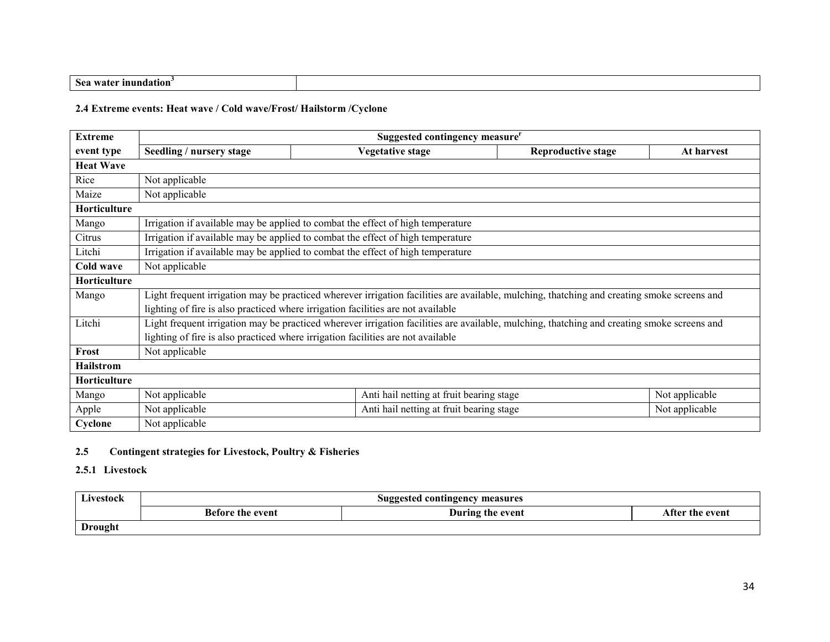| inundation<br>Sea<br>$\cdots$<br>. |  |
|------------------------------------|--|
|                                    |  |

## 2.4 Extreme events: Heat wave / Cold wave/Frost/ Hailstorm /Cyclone

| <b>Extreme</b>   | Suggested contingency measure <sup>r</sup>                                       |                                                                                                                                             |                           |                |
|------------------|----------------------------------------------------------------------------------|---------------------------------------------------------------------------------------------------------------------------------------------|---------------------------|----------------|
| event type       | Seedling / nursery stage                                                         | <b>Vegetative stage</b>                                                                                                                     | <b>Reproductive stage</b> | At harvest     |
| <b>Heat Wave</b> |                                                                                  |                                                                                                                                             |                           |                |
| Rice             | Not applicable                                                                   |                                                                                                                                             |                           |                |
| Maize            | Not applicable                                                                   |                                                                                                                                             |                           |                |
| Horticulture     |                                                                                  |                                                                                                                                             |                           |                |
| Mango            |                                                                                  | Irrigation if available may be applied to combat the effect of high temperature                                                             |                           |                |
| Citrus           |                                                                                  | Irrigation if available may be applied to combat the effect of high temperature                                                             |                           |                |
| Litchi           | Irrigation if available may be applied to combat the effect of high temperature  |                                                                                                                                             |                           |                |
| Cold wave        | Not applicable                                                                   |                                                                                                                                             |                           |                |
| Horticulture     |                                                                                  |                                                                                                                                             |                           |                |
| Mango            |                                                                                  | Light frequent irrigation may be practiced wherever irrigation facilities are available, mulching, thatching and creating smoke screens and |                           |                |
|                  |                                                                                  | lighting of fire is also practiced where irrigation facilities are not available                                                            |                           |                |
| Litchi           |                                                                                  | Light frequent irrigation may be practiced wherever irrigation facilities are available, mulching, thatching and creating smoke screens and |                           |                |
|                  | lighting of fire is also practiced where irrigation facilities are not available |                                                                                                                                             |                           |                |
| Frost            | Not applicable                                                                   |                                                                                                                                             |                           |                |
| <b>Hailstrom</b> |                                                                                  |                                                                                                                                             |                           |                |
| Horticulture     |                                                                                  |                                                                                                                                             |                           |                |
| Mango            | Not applicable                                                                   | Anti hail netting at fruit bearing stage                                                                                                    |                           | Not applicable |
| Apple            | Not applicable                                                                   | Anti hail netting at fruit bearing stage                                                                                                    |                           | Not applicable |
| Cyclone          | Not applicable                                                                   |                                                                                                                                             |                           |                |

# 2.5 Contingent strategies for Livestock, Poultry & Fisheries

# 2.5.1 Livestock

| Livestock      | Suggested contingency measures                                 |  |  |  |
|----------------|----------------------------------------------------------------|--|--|--|
|                | <b>Before the event</b><br>During the event<br>After the event |  |  |  |
| <b>Drought</b> |                                                                |  |  |  |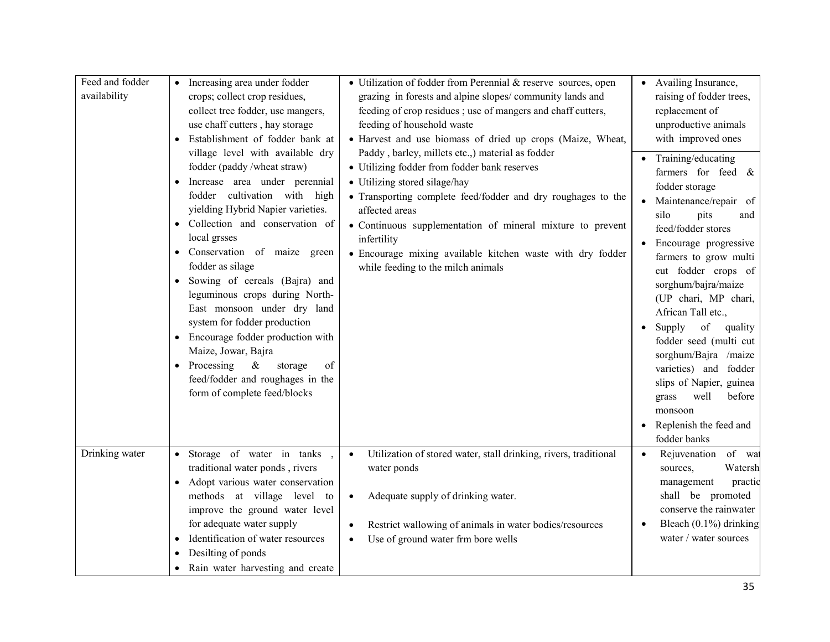| Feed and fodder<br>availability | Increasing area under fodder<br>crops; collect crop residues,<br>collect tree fodder, use mangers,<br>use chaff cutters, hay storage<br>Establishment of fodder bank at<br>village level with available dry<br>fodder (paddy/wheat straw)<br>Increase area under perennial<br>cultivation with high<br>fodder<br>yielding Hybrid Napier varieties.<br>Collection and conservation of<br>local grsses<br>Conservation of maize green<br>fodder as silage<br>Sowing of cereals (Bajra) and<br>leguminous crops during North-<br>East monsoon under dry land<br>system for fodder production<br>Encourage fodder production with<br>$\bullet$<br>Maize, Jowar, Bajra<br>• Processing<br>$\&$<br>storage<br>of<br>feed/fodder and roughages in the<br>form of complete feed/blocks | • Utilization of fodder from Perennial & reserve sources, open<br>grazing in forests and alpine slopes/community lands and<br>feeding of crop residues ; use of mangers and chaff cutters,<br>feeding of household waste<br>• Harvest and use biomass of dried up crops (Maize, Wheat,<br>Paddy, barley, millets etc.,) material as fodder<br>• Utilizing fodder from fodder bank reserves<br>• Utilizing stored silage/hay<br>• Transporting complete feed/fodder and dry roughages to the<br>affected areas<br>• Continuous supplementation of mineral mixture to prevent<br>infertility<br>· Encourage mixing available kitchen waste with dry fodder<br>while feeding to the milch animals | • Availing Insurance,<br>raising of fodder trees,<br>replacement of<br>unproductive animals<br>with improved ones<br>Training/educating<br>farmers for feed $\&$<br>fodder storage<br>Maintenance/repair of<br>$\bullet$<br>silo<br>pits<br>and<br>feed/fodder stores<br>Encourage progressive<br>farmers to grow multi<br>cut fodder crops of<br>sorghum/bajra/maize<br>(UP chari, MP chari,<br>African Tall etc.,<br>of<br>Supply<br>quality<br>fodder seed (multi cut<br>sorghum/Bajra /maize<br>varieties) and fodder<br>slips of Napier, guinea<br>well<br>before<br>grass<br>monsoon<br>Replenish the feed and<br>fodder banks |
|---------------------------------|--------------------------------------------------------------------------------------------------------------------------------------------------------------------------------------------------------------------------------------------------------------------------------------------------------------------------------------------------------------------------------------------------------------------------------------------------------------------------------------------------------------------------------------------------------------------------------------------------------------------------------------------------------------------------------------------------------------------------------------------------------------------------------|------------------------------------------------------------------------------------------------------------------------------------------------------------------------------------------------------------------------------------------------------------------------------------------------------------------------------------------------------------------------------------------------------------------------------------------------------------------------------------------------------------------------------------------------------------------------------------------------------------------------------------------------------------------------------------------------|--------------------------------------------------------------------------------------------------------------------------------------------------------------------------------------------------------------------------------------------------------------------------------------------------------------------------------------------------------------------------------------------------------------------------------------------------------------------------------------------------------------------------------------------------------------------------------------------------------------------------------------|
| Drinking water                  | • Storage of water in tanks,<br>traditional water ponds, rivers<br>Adopt various water conservation<br>methods at village level to<br>improve the ground water level<br>for adequate water supply<br>Identification of water resources<br>$\bullet$<br>Desilting of ponds<br>$\bullet$<br>Rain water harvesting and create                                                                                                                                                                                                                                                                                                                                                                                                                                                     | Utilization of stored water, stall drinking, rivers, traditional<br>$\bullet$<br>water ponds<br>Adequate supply of drinking water.<br>$\bullet$<br>Restrict wallowing of animals in water bodies/resources<br>$\bullet$<br>Use of ground water frm bore wells<br>$\bullet$                                                                                                                                                                                                                                                                                                                                                                                                                     | of wa<br>Rejuvenation<br>$\bullet$<br>Watersh<br>sources,<br>practic<br>management<br>shall be promoted<br>conserve the rainwater<br>Bleach $(0.1\%)$ drinking<br>water / water sources                                                                                                                                                                                                                                                                                                                                                                                                                                              |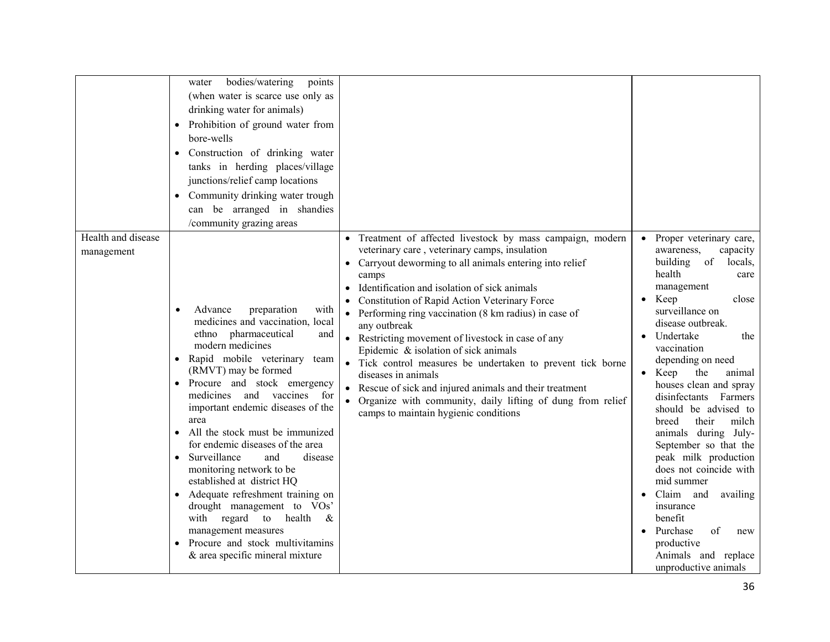|                                  | bodies/watering<br>points<br>water<br>(when water is scarce use only as<br>drinking water for animals)<br>Prohibition of ground water from<br>$\bullet$<br>bore-wells<br>• Construction of drinking water<br>tanks in herding places/village<br>junctions/relief camp locations<br>Community drinking water trough<br>$\bullet$<br>can be arranged in shandies<br>/community grazing areas                                                                                                                                                                                                                                                                              |                                                                                                                                                                                                                                                                                                                                                                                                                                                                                                                                                                                                                                                                                                              |                                                                                                                                                                                                                                                                                                                                                                                                                                                                                                                                                                                                                                                      |
|----------------------------------|-------------------------------------------------------------------------------------------------------------------------------------------------------------------------------------------------------------------------------------------------------------------------------------------------------------------------------------------------------------------------------------------------------------------------------------------------------------------------------------------------------------------------------------------------------------------------------------------------------------------------------------------------------------------------|--------------------------------------------------------------------------------------------------------------------------------------------------------------------------------------------------------------------------------------------------------------------------------------------------------------------------------------------------------------------------------------------------------------------------------------------------------------------------------------------------------------------------------------------------------------------------------------------------------------------------------------------------------------------------------------------------------------|------------------------------------------------------------------------------------------------------------------------------------------------------------------------------------------------------------------------------------------------------------------------------------------------------------------------------------------------------------------------------------------------------------------------------------------------------------------------------------------------------------------------------------------------------------------------------------------------------------------------------------------------------|
| Health and disease<br>management | Advance<br>preparation<br>with<br>medicines and vaccination, local<br>ethno pharmaceutical<br>and<br>modern medicines<br>• Rapid mobile veterinary team<br>(RMVT) may be formed<br>• Procure and stock emergency<br>medicines<br>and<br>vaccines<br>for<br>important endemic diseases of the<br>area<br>All the stock must be immunized<br>for endemic diseases of the area<br>Surveillance<br>and<br>disease<br>monitoring network to be<br>established at district HQ<br>Adequate refreshment training on<br>drought management to VOs'<br>with regard to<br>health<br>&<br>management measures<br>Procure and stock multivitamins<br>& area specific mineral mixture | • Treatment of affected livestock by mass campaign, modern<br>veterinary care, veterinary camps, insulation<br>• Carryout deworming to all animals entering into relief<br>camps<br>Identification and isolation of sick animals<br>Constitution of Rapid Action Veterinary Force<br>Performing ring vaccination (8 km radius) in case of<br>any outbreak<br>• Restricting movement of livestock in case of any<br>Epidemic & isolation of sick animals<br>Tick control measures be undertaken to prevent tick borne<br>diseases in animals<br>Rescue of sick and injured animals and their treatment<br>Organize with community, daily lifting of dung from relief<br>camps to maintain hygienic conditions | • Proper veterinary care,<br>awareness.<br>capacity<br>building<br>of<br>locals,<br>health<br>care<br>management<br>Keep<br>close<br>$\bullet$<br>surveillance on<br>disease outbreak.<br>Undertake<br>the<br>vaccination<br>depending on need<br>$\bullet$ Keep<br>the<br>animal<br>houses clean and spray<br>disinfectants<br>Farmers<br>should be advised to<br>their<br>milch<br>breed<br>animals during July-<br>September so that the<br>peak milk production<br>does not coincide with<br>mid summer<br>• Claim and<br>availing<br>insurance<br>benefit<br>Purchase<br>of<br>new<br>productive<br>Animals and replace<br>unproductive animals |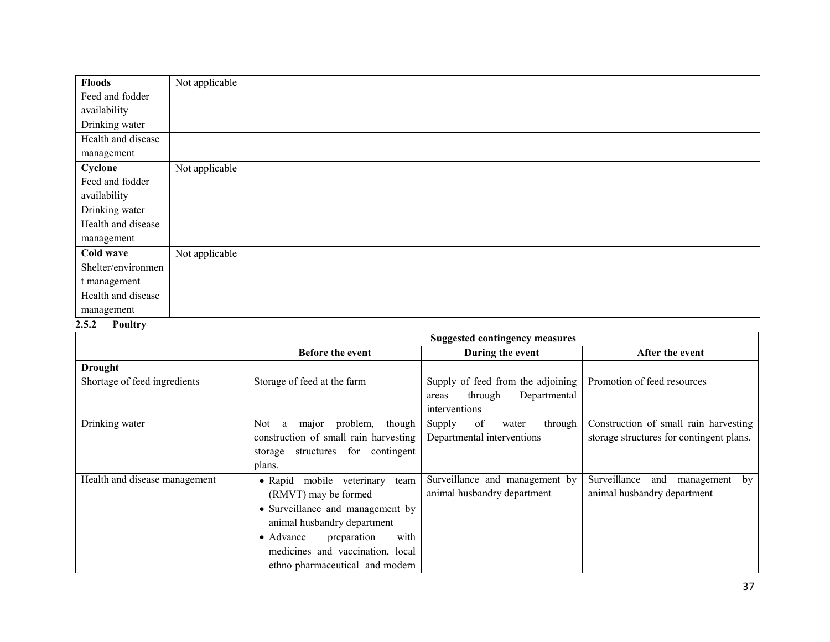| <b>Floods</b>      | Not applicable |
|--------------------|----------------|
| Feed and fodder    |                |
| availability       |                |
| Drinking water     |                |
| Health and disease |                |
| management         |                |
| Cyclone            | Not applicable |
| Feed and fodder    |                |
| availability       |                |
| Drinking water     |                |
| Health and disease |                |
| management         |                |
| Cold wave          | Not applicable |
| Shelter/environmen |                |
| t management       |                |
| Health and disease |                |
| management         |                |

# 2.5.2 Poultry

|                               | <b>Suggested contingency measures</b>                                                                                                                                                                                                           |                                                                                        |                                                                                   |  |
|-------------------------------|-------------------------------------------------------------------------------------------------------------------------------------------------------------------------------------------------------------------------------------------------|----------------------------------------------------------------------------------------|-----------------------------------------------------------------------------------|--|
|                               | Before the event                                                                                                                                                                                                                                | During the event                                                                       | After the event                                                                   |  |
| Drought                       |                                                                                                                                                                                                                                                 |                                                                                        |                                                                                   |  |
| Shortage of feed ingredients  | Storage of feed at the farm                                                                                                                                                                                                                     | Supply of feed from the adjoining<br>Departmental<br>through<br>areas<br>interventions | Promotion of feed resources                                                       |  |
| Drinking water                | problem,<br>though<br>Not.<br>major<br>a<br>construction of small rain harvesting<br>structures for contingent<br>storage<br>plans.                                                                                                             | of<br>through<br>Supply<br>water<br>Departmental interventions                         | Construction of small rain harvesting<br>storage structures for contingent plans. |  |
| Health and disease management | • Rapid mobile veterinary<br>team<br>(RMVT) may be formed<br>• Surveillance and management by<br>animal husbandry department<br>with<br>$\bullet$ Advance<br>preparation<br>medicines and vaccination, local<br>ethno pharmaceutical and modern | Surveillance and management by<br>animal husbandry department                          | Surveillance<br>and<br>management<br>by<br>animal husbandry department            |  |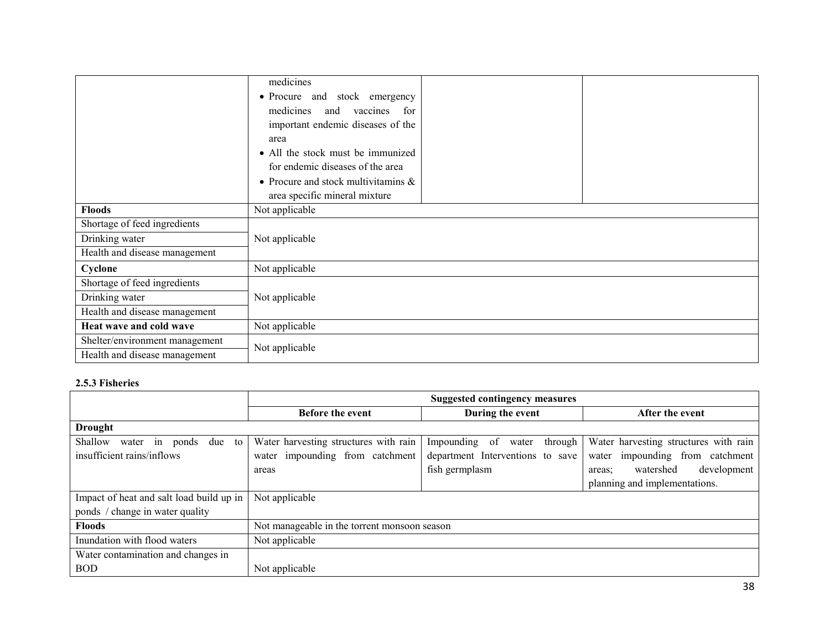|                                | medicines                              |  |  |
|--------------------------------|----------------------------------------|--|--|
|                                | • Procure and stock emergency          |  |  |
|                                | medicines<br>vaccines for<br>and       |  |  |
|                                | important endemic diseases of the      |  |  |
|                                | area                                   |  |  |
|                                | • All the stock must be immunized      |  |  |
|                                | for endemic diseases of the area       |  |  |
|                                | • Procure and stock multivitamins $\&$ |  |  |
|                                | area specific mineral mixture          |  |  |
| <b>Floods</b>                  | Not applicable                         |  |  |
| Shortage of feed ingredients   |                                        |  |  |
| Drinking water                 | Not applicable                         |  |  |
| Health and disease management  |                                        |  |  |
| Cyclone                        | Not applicable                         |  |  |
| Shortage of feed ingredients   |                                        |  |  |
| Drinking water                 | Not applicable                         |  |  |
| Health and disease management  |                                        |  |  |
| Heat wave and cold wave        | Not applicable                         |  |  |
| Shelter/environment management | Not applicable                         |  |  |
| Health and disease management  |                                        |  |  |

#### 2.5.3 Fisheries

|                                           | <b>Suggested contingency measures</b>        |                                   |                                       |
|-------------------------------------------|----------------------------------------------|-----------------------------------|---------------------------------------|
|                                           | <b>Before the event</b>                      | During the event                  | After the event                       |
| <b>Drought</b>                            |                                              |                                   |                                       |
| Shallow<br>in ponds<br>to<br>water<br>due | Water harvesting structures with rain        | Impounding of<br>through<br>water | Water harvesting structures with rain |
| insufficient rains/inflows                | water impounding from catchment              | department Interventions to save  | impounding from catchment<br>water    |
|                                           | areas                                        | fish germplasm                    | development<br>watershed<br>areas:    |
|                                           |                                              |                                   | planning and implementations.         |
| Impact of heat and salt load build up in  | Not applicable                               |                                   |                                       |
| ponds / change in water quality           |                                              |                                   |                                       |
| <b>Floods</b>                             | Not manageable in the torrent monsoon season |                                   |                                       |
| Inundation with flood waters              | Not applicable                               |                                   |                                       |
| Water contamination and changes in        |                                              |                                   |                                       |
| <b>BOD</b>                                | Not applicable                               |                                   |                                       |